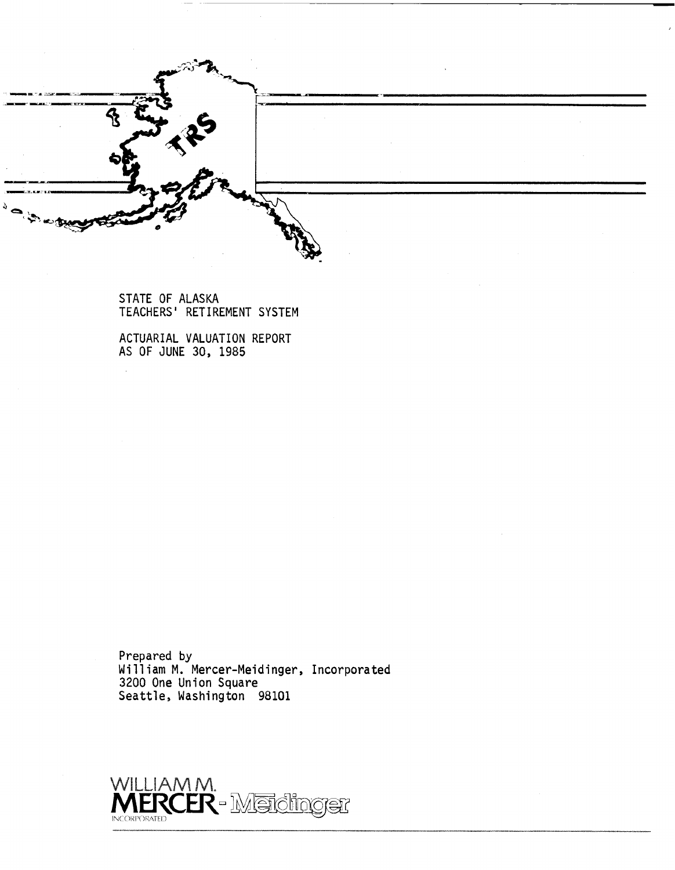|  | $\sim$ |  |
|--|--------|--|
|  |        |  |
|  |        |  |

STATE OF ALASKA TEACHERS ' RETIREMENT SYSTEM

ACTUARIAL VALUATION REPORT AS OF JUNE 30, 1985

 $\sim$ 

Prepared by William M. Mercer-Meidinger, Incorporated 3200 One Union Square Seattle, Washington 98101

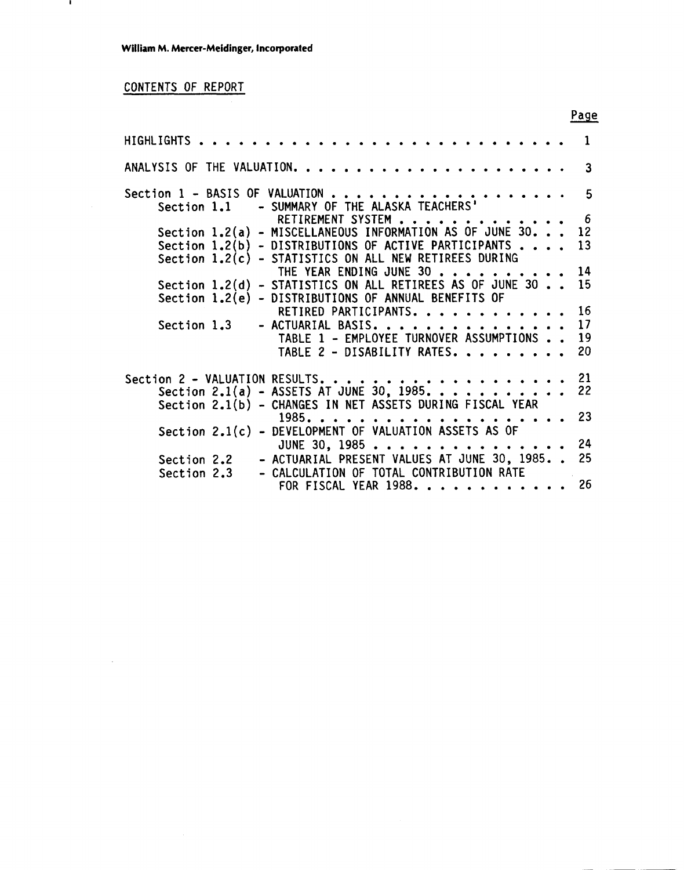# CONTENTS OF REPORT

 $\mathbf{I}$ 

 $\bar{\beta}$ 

| HIGHLIGHTS  |                                                                  | ı  |
|-------------|------------------------------------------------------------------|----|
|             |                                                                  | 3  |
|             | Section 1.1 - SUMMARY OF THE ALASKA TEACHERS'                    | 5  |
|             | RETIREMENT SYSTEM                                                | -6 |
|             | Section 1.2(a) - MISCELLANEOUS INFORMATION AS OF JUNE 30.        | 12 |
|             | Section $1.2(b)$ - DISTRIBUTIONS OF ACTIVE PARTICIPANTS $\ldots$ | 13 |
|             | Section 1.2(c) - STATISTICS ON ALL NEW RETIREES DURING           |    |
|             | THE YEAR ENDING JUNE 30                                          | 14 |
|             | Section 1.2(d) - STATISTICS ON ALL RETIREES AS OF JUNE 30        | 15 |
|             | Section 1.2(e) - DISTRIBUTIONS OF ANNUAL BENEFITS OF             |    |
|             | RETIRED PARTICIPANTS.                                            | 16 |
| Section 1.3 | - ACTUARIAL BASIS.                                               | 17 |
|             | TABLE 1 - EMPLOYEE TURNOVER ASSUMPTIONS                          | 19 |
|             | TABLE 2 - DISABILITY RATES.                                      | 20 |
|             | Section 2 - VALUATION RESULTS.                                   | 21 |
|             | Section 2.1(a) - ASSETS AT JUNE 30, 1985.                        | 22 |
|             | Section 2.1(b) - CHANGES IN NET ASSETS DURING FISCAL YEAR        |    |
|             | $1985. \ldots$ .                                                 | 23 |
|             | Section 2.1(c) - DEVELOPMENT OF VALUATION ASSETS AS OF           |    |
|             | JUNE 30, 1985                                                    | 24 |
| Section 2.2 | - ACTUARIAL PRESENT VALUES AT JUNE 30, 1985                      | 25 |
| Section 2.3 | - CALCULATION OF TOTAL CONTRIBUTION RATE                         |    |
|             | FOR FISCAL YEAR 1988                                             | 26 |
|             |                                                                  |    |

Page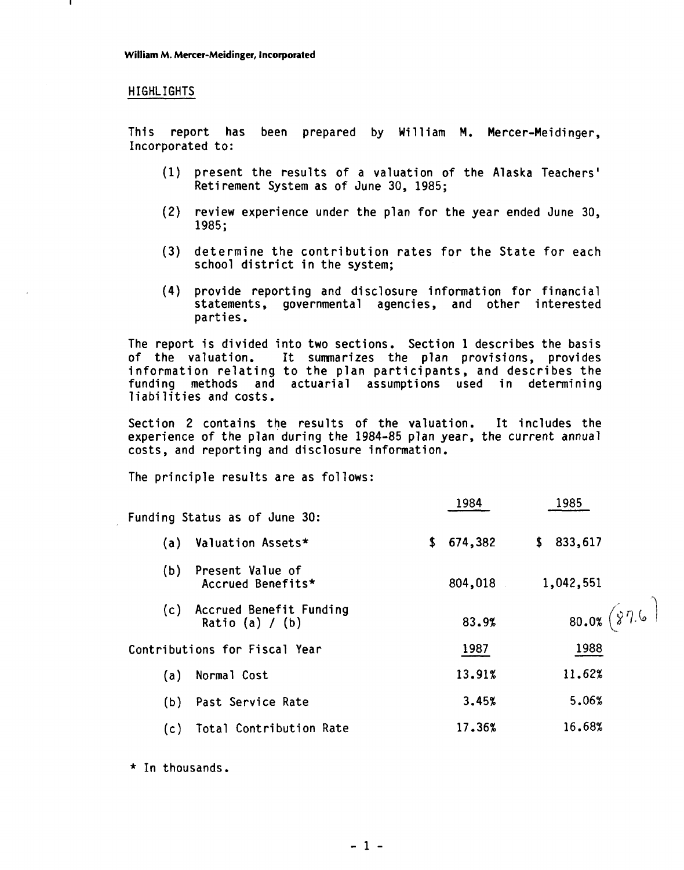### HIGHLIGHTS

This report has been prepared by William M. Mercer-Meidinger, Incorporated to:

- (1) present the results of a valuation of the Alaska Teachers' Retirement System as of June 30, 1985;
- (2) review experience under the plan for the year ended June 30, 1985;
- (3) determine the contribution rates for the State for each school district in the system;
- (4) provide reporting and disclosure information for financial statements, governmental agencies, and other interested parties.

The report is divided into two sections. Section 1 describes the basis of the valuation. It sumnarizes the plan provisions, provides information relating to the plan participants, and describes the funding methods and actuarial assumptions used in determining liabilities and costs.

Section 2 contains the results of the valuation. It includes the experience of the plan during the 1984-85 plan year, the current annual costs, and reporting and disclosure information.

The principle results are as follows:

|     | Funding Status as of June 30:                | 1984          | 1985           |
|-----|----------------------------------------------|---------------|----------------|
| (a) | Valuation Assets*                            | 674,382<br>\$ | \$833,617      |
| (b) | Present Value of<br>Accrued Benefits*        | 804,018       | 1,042,551      |
| (c) | Accrued Benefit Funding<br>Ratio (a) $/$ (b) | 83.9%         | 80.0% $(87.6)$ |
|     | Contributions for Fiscal Year                | 1987          | 1988           |
| (a) | Normal Cost                                  | 13.91%        | 11.62%         |
| (b) | Past Service Rate                            | 3.45%         | 5.06%          |
| (c) | Total Contribution Rate                      | 17.36%        | 16.68%         |

 $\overline{a}$ 

 $\overline{a}$ 

\* In thousands.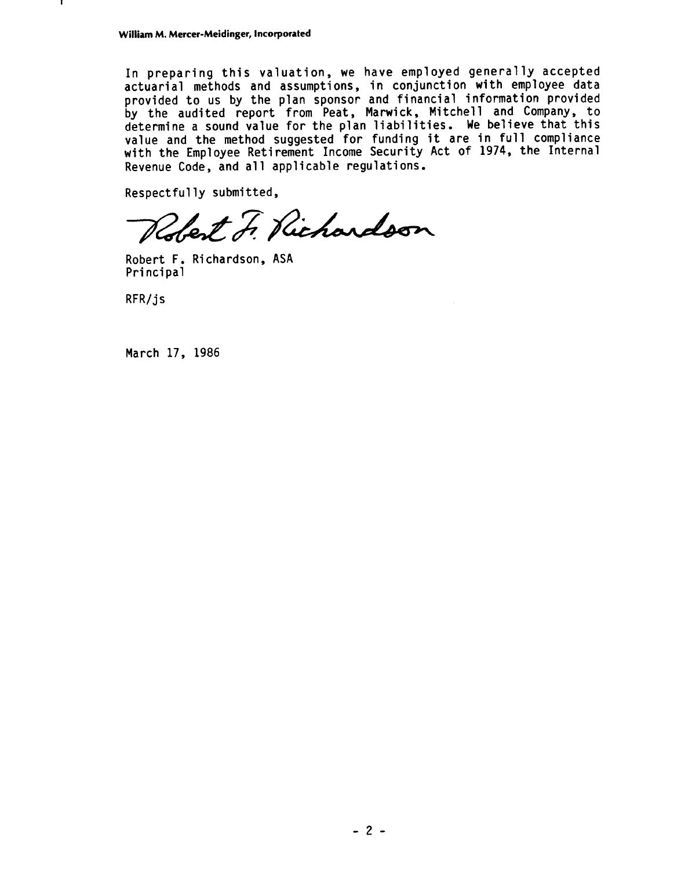In preparing this valuation, we have employed generally accepted actuarial methods and assumptions, in conjunction with employee data provided to us by the plan sponsor and financial information provided by the audited report from Peat, Marwick, Mitchell and Company, to determine a sound value for the plan liabilities. We believe that this etermine a sound value for the plan frabilities. We befieve that this Native and the method suggested for funding it are in fail comprisince<br>
Revenue Code, and all applicable regulations.<br>
Respectfully submitted,

Robert F. Richardson

Robert F. Richardson, ASA Principal

 $RFR/js$ 

March 17, 1986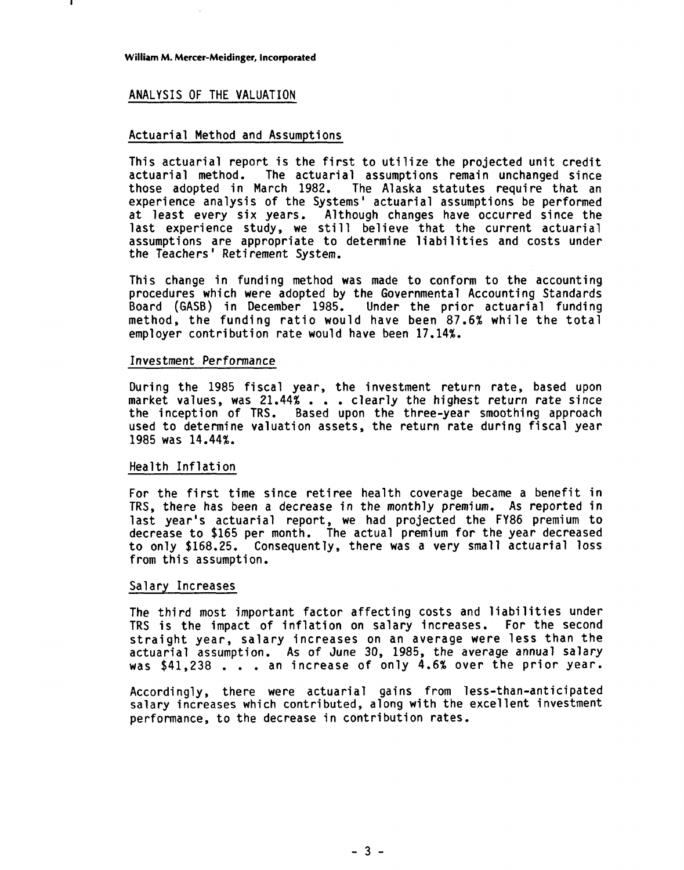### ANALYSIS OF THE VALUATION

### Actuarial Method and Assumptions

This actuarial report is the first to utilize the projected unit credit actuarial method. The actuarial assumptions remain unchanged since The Alaska statutes require that an experience analysis of the Systems' actuarial assumptions be performed at least every six years. Although changes have occurred since the last experience study, we still believe that the current actuarial assumptions are appropriate to determine liabilities and costs under the Teachers ' Reti rement System.

This change in funding method was made to conform to the accounting procedures which were adopted by the Governmental Accounting Standards Board (GASB) in December 1985. Under the prior actuarial funding method, the funding ratio would have been 87.6% while the total employer contribution rate would have been 17.14%.

### Investment Performance

During the 1985 fiscal year, the investment return rate, based upon During the 1985 fiscal year, the investment return rate, based upon<br>market values, was 21.44% . . . clearly the highest return rate since the inception of TRS. Based upon the three-year smoothing approach used to determine valuation assets, the return rate during fiscal year 1985 was 14.44%.

### Health Inflation

For the first time since retiree health coverage became a benefit in TRS, there has been a decrease in the monthly premium. As reported in last year's actuarial report, we had projected the FY86 premium to decrease to \$165 per month. The actual premium for the year decreased to only \$168.25. Consequently, there was a very small actuarial loss from this assumption.

### Salary Increases

The third most important factor affecting costs and liabilities under TRS is the impact of inflation on salary increases. For the second straight year, salary increases on an average were less than the actuarial assumption. As of June 30, 1985, the average annual salary was \$41,238 . . . an increase of only 4.6% over the prior year.

Accordingly, there were actuarial gains from less-than-anticipated salary increases which contributed, along with the excellent investment performance, to the decrease in contribution rates.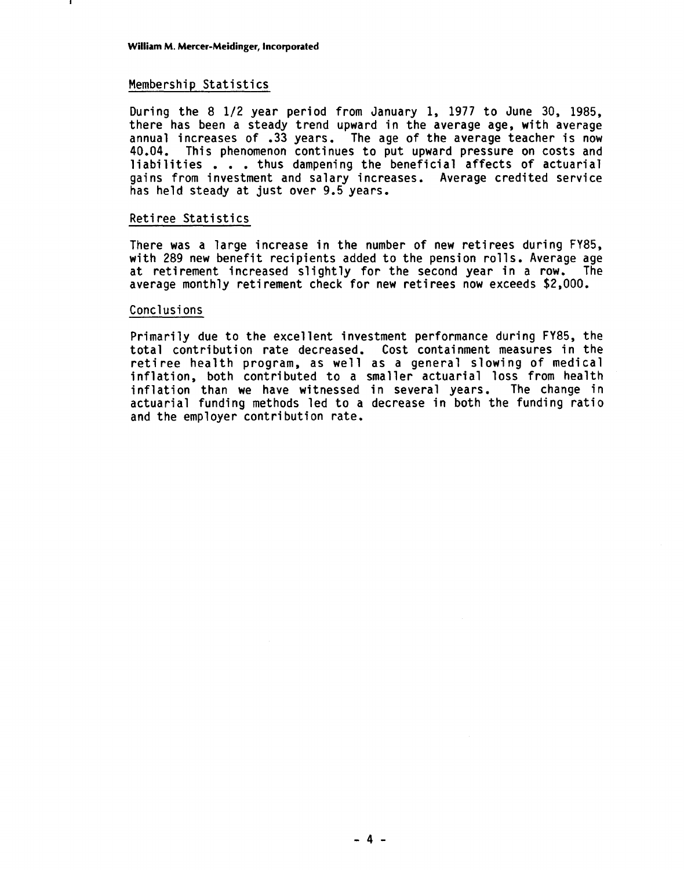### Membership Statistics

During the 8 1/2 year period from January 1, 1977 to June 30, 1985, there has been a steady trend upward in the average age, with average annual increases of **-33** years. The age of the average teacher is now 40.04. This phenomenon continues to put upward pressure on costs and liabilities . . . thus dampening the beneficial affects of actuarial gains from investment and salary increases. Average credited service has held steady at just over 9.5 years.

### Reti ree Statistics

There was a large increase in the number of new retirees during FY85, with 289 new benefit recipients added to the pension rolls. Average age at retirement increased slightly for the second year in a row, The average monthly retirement check for new retirees now exceeds \$2,000.

### Conclusions

Primarily due to the excellent investment performance during FY85, the total contribution rate decreased. Cost containment measures in the retiree health program, as well as a general slowing of medical inflation, both contributed to a smaller actuarial loss from health inflation than we have witnessed in several years. The change in actuarial funding methods led to a decrease in both the funding ratio and the employer contribution rate,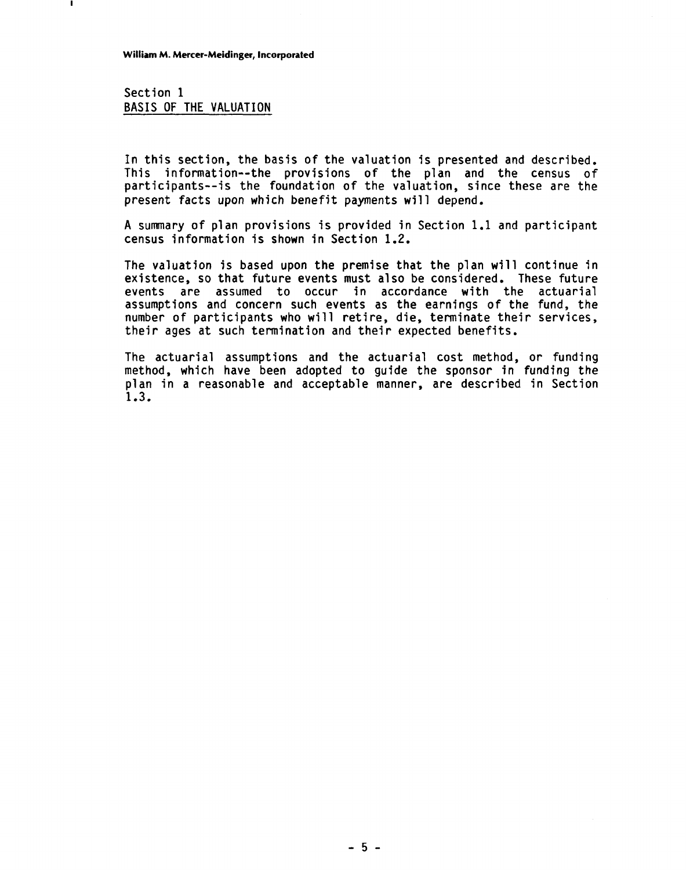Section 1 BASIS OF THE VALUATION

In this section, the basis of the valuation is presented and described. This information--the provisions of the plan and the census of participants--is the foundation of the valuation, since these are the present facts upon which benefit payments will depend,

A summary of plan provisions is provided in Section 1.1 and participant census information is shown in Section 1.2.

The valuation is based upon the premise that the plan will continue in existence, so that future events must also be considered. These future events are assumed to occur in accordance with the actuarial assumptions and concern such events as the earnings of the fund, the number of participants who will retire, die, terminate their services, their ages at such termination and their expected benefits.

The actuarial assumptions and the actuarial cost method, or funding method, which have been adopted to guide the sponsor in funding the plan in a reasonable and acceptable manner, are described in Section 1.3,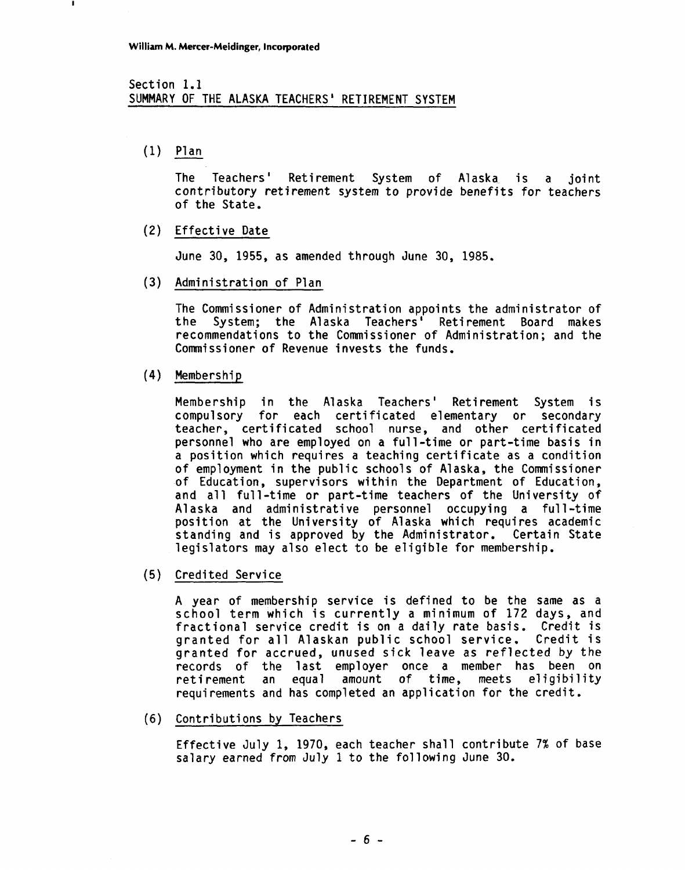### Section 1.1 SUMMARY OF THE ALASKA TEACHERS ' RETIREMENT SYSTEM

 $(1)$  Plan

The Teachers' Retirement System of Alaska is a joint contributory retirement system to provide benefits for teachers of the State.

(2) Effective Date

June 30, 1955, as amended through June 30, 1985.

(3) Administration of Plan

The Commissioner of Administration appoints the administrator of the System; the Alaska Teachers' Retirement Board makes recommendations to the Commissioner of Administration; and the Commissioner of Revenue invests the funds.

 $(4)$ Membership

> Membership in the Alaska Teachers' Retirement System is compulsory for each certificated elementary or secondary teacher, certificated school nurse, and other certificated personnel who are employed on a full-time or part-time basis in a position which requires a teaching certificate as a condition of employment in the public schools of Alaska, the Commissioner of Education, supervisors within the Department of Education, and all full-time or part-time teachers of the University of Alaska and administrative personnel occupying a full-time position at the University of Alaska which requires academic standing and is approved by the Administrator. Certain State legislators may also elect to be eligible for membership.

(5) Credited Service

A year of membership service is defined to be the same as a school term which is currently a minimum of 172 days, and fractional service credit is on a daily rate basis. Credit is granted for all Alaskan public school service. Credit is granted for accrued, unused sick leave as reflected by the records of the last employer once a member has been on<br>retirement an equal amount of time, meets eligibility retirement an equal amount of time, requirements and has completed an application for the credit.

(6) Contributions by Teachers

Effective July 1, 1970, each teacher shall contribute 7% of base salary earned from July 1 to the following June 30.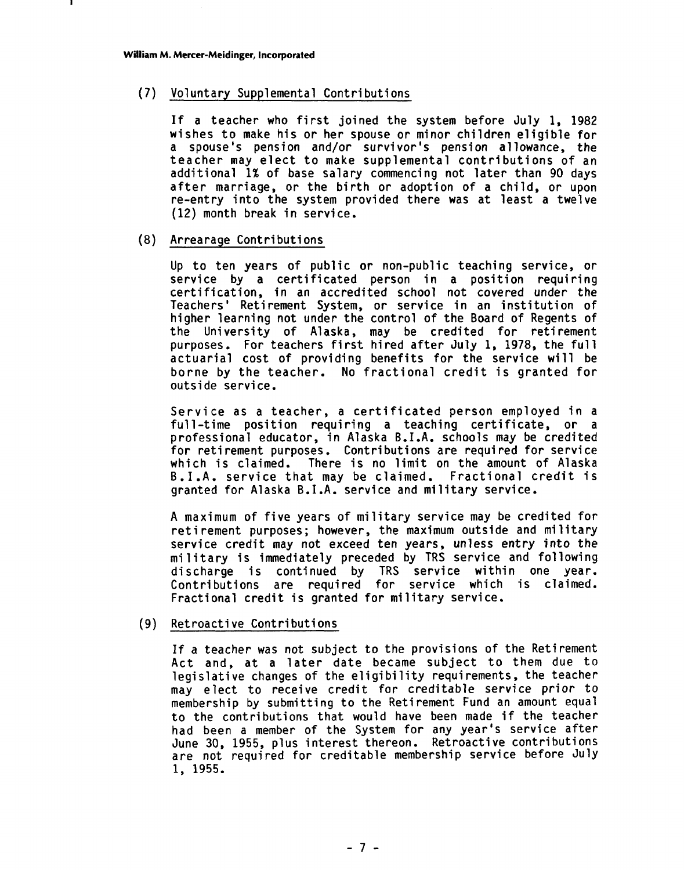### (7) Voluntary Supplemental Contributions

If a teacher who first joined the system before July 1, 1982 wishes to make his or her spouse or minor children eligible for a spouse's pension and/or survi vor 's pension a1 lowance, the teacher may elect to make supplemental contributions of an additional 1% of base salary commencing not later than 90 days after marriage, or the birth or adoption of a child, or upon re-entry into the system provided there was at least a twelve (12) month break in service.

### (8) Arrearage Contributions

Up to ten years of public or non-public teaching service, or service by a certificated person in a position requiring certification, in an accredited school not covered under the Teachers' Retirement System, or service in an institution of higher learning not under the control of the Board of Regents of the University of Alaska, may be credited for retirement purposes. For teachers first hired after July 1, 1978, the full actuarial cost of providing benefits for the service will be borne by the teacher. No fractional credit is granted for outside service.

Service as a teacher, a certificated person employed in a full-time position requiring a teaching certificate, or a professional educator, in Alaska B.I.A. schools may be credited for retirement purposes. Contributions are required for service which is claimed. There is no limit on the amount of Alaska B.I.A. service that may be claimed. Fractional credit is granted for Alaska B.1 .A. service and military service.

A maximum of five years of mi litary service may be credited for retirement purposes; however, the maximum outside and military service credit may not exceed ten years, unless entry into the military is immediately preceded by TRS service and following discharge is continued by TRS service within one year. Contributions are required for service which is claimed. Fractional credit is granted for military service.

### (9) Retroacti ve Contributions

If a teacher was not subject to the provisions of the Retirement Act and, at a later date became subject to them due to legislative changes of the eligibility requirements, the teacher may elect to receive credit for creditable service prior to membership by submitting to the Retirement Fund an amount equal to the contributions that would have been made if the teacher had been a member of the System for any year's service after June 30, 1955, plus interest thereon. Retroactive contributions are not required for creditable membership service before July 1, 1955.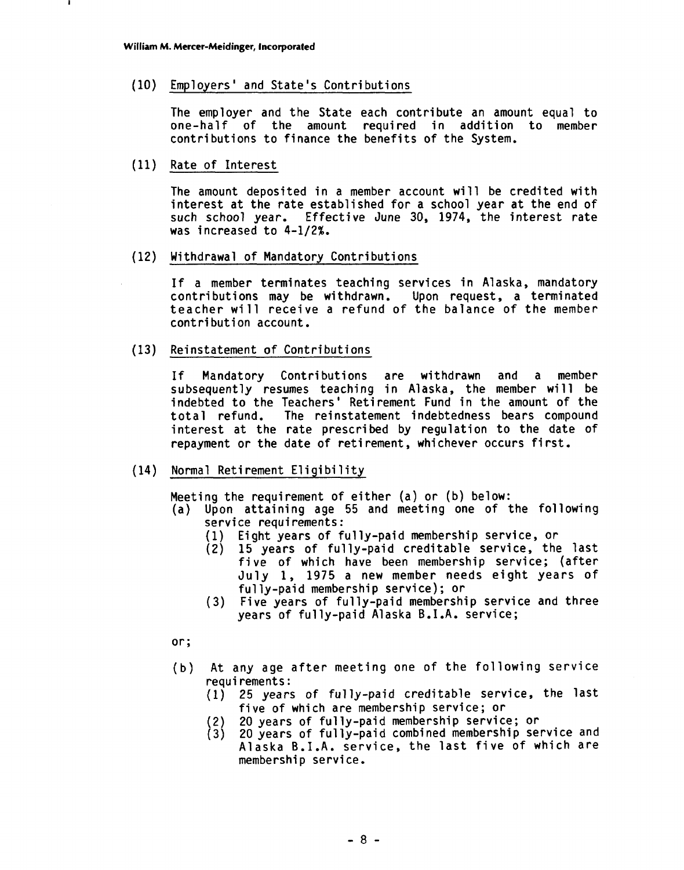Employers ' and State's Contributions

The employer and the State each contribute an amount equal to one-half of the amount required in addition to member contri butions to finance the benefits of the System.

(11) Rate of Interest

The amount deposited in a member account wi 11 be credited with interest at the rate established for a school year at the end of such school year. Effective June 30, 1974, the interest rate was increased to 4-1/2%.

(12) Withdrawal of Mandatory Contributions

If a member terminates teaching services in Alaska, mandatory contributions may be withdrawn. Upon request, a terminated teacher will receive a refund of the balance of the member<br>contribution account.

(13) Reinstatement of Contributions

If Mandatory Contributions are withdrawn and a member subsequently resumes teaching in Alaska, the member will be indebted to the Teachers' Retirement Fund in the amount of the total refund. The reinstatement indebtedness bears compound interest at the rate prescribed by regulation to the date of repayment or the date of retirement, whichever occurs first.

(14) Normal Retirement Eligibility

Meeting the requirement of either (a) or (b) below:

- (a) Upon attaining age 55 and meeting one of the following service requi rements :
	- (1) Eight years of ful ly-paid membership service, or
	- 15 years of fully-paid creditable service, the last five of which have been membership service; (after July 1, 1975 a new member needs eight years of ful ly-paid membership service); or
	- (3) Five years of fully-paid membership service and three years of ful ly-paid Alaska B.I.A. service;

or;

- (b) At any age after meeting one of the following service requi rements :
	- (1) 25 years of fully-paid creditable service, the last five of which are membership service; or
	- (2) 20 years of fully-paid membership service; or
	- 20 years of fully-paid combined membership service and Alaska B.I.A. service, the last five of which are membership service.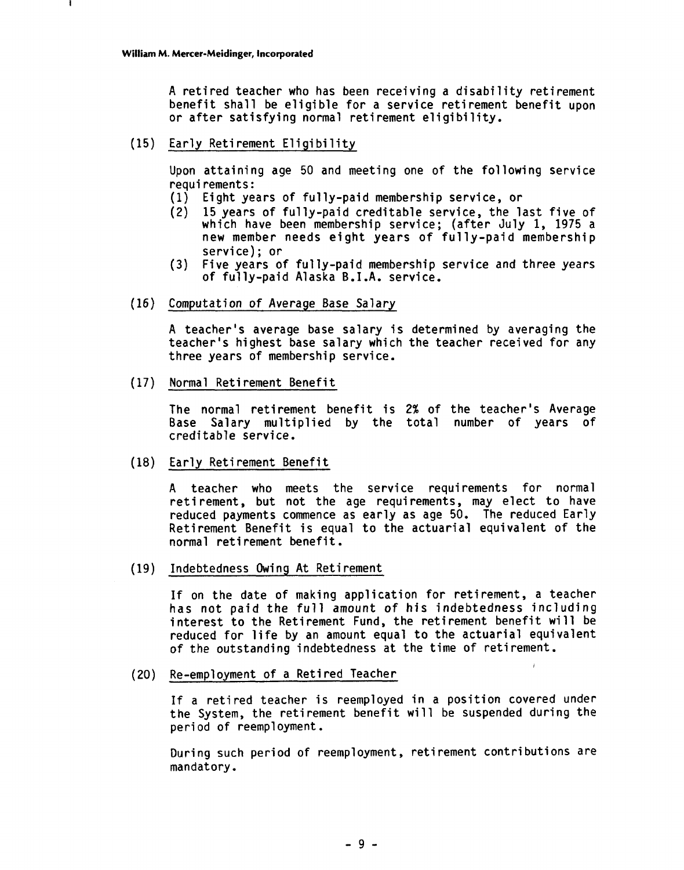A retired teacher who has been receiving a disability retirement benefit shall be eligible for a service retirement benefit upon or after satisfying normal retirement eligibility.

(15) Early Retirement Eligibility

Upon attaining age 50 and meeting one of the following service requirements:

- (1) Eight years of ful ly-paid membership service, or
- (2) 15 years of fully-paid creditable service, the last five of which have been membership service; (after July 1, 1975 a new member needs eight years of fully-paid membership service) ; or
- **(3)** Five years of fully-paid membership service and three years of fully-paid Alaska B.I.A. service.
- (16) Computation of Average Base Salary

A teacher's average base salary is determined by averaging the teacher's highest base salary which the teacher received for any three years of membership service.

(17) Normal Retirement Benefit

The normal retirement benefit is 2% of the teacher's Average Base Salary multiplied by the total number of years of creditable service.

(18) Early Retirement Benefit

A teacher who meets the service requirements for normal retirement, but not the age requirements, may elect to have reduced payments commence as early as age 50. The reduced Early reducted payments commence as outly as age for the venture and  $\eta$ .<br>Retirement Benefit is equal to the actuarial equivalent of the normal retirement benefit.

(19) Indebtedness Owing At Retirement

If on the date of making application for retirement, a teacher has not paid the full amount of his indebtedness including interest to the Retirement Fund, the retirement benefit wi 11 be reduced for life by an amount equal to the actuarial equivalent of the outstanding indebtedness at the time of retirement.

(20) Re-employment of a Retired Teacher

If a retired teacher is reemployed in a position covered under the System, the retirement benefit will be suspended during the period of reemployment.<br>During such period of reemployment, retirement contributions are

mandatory.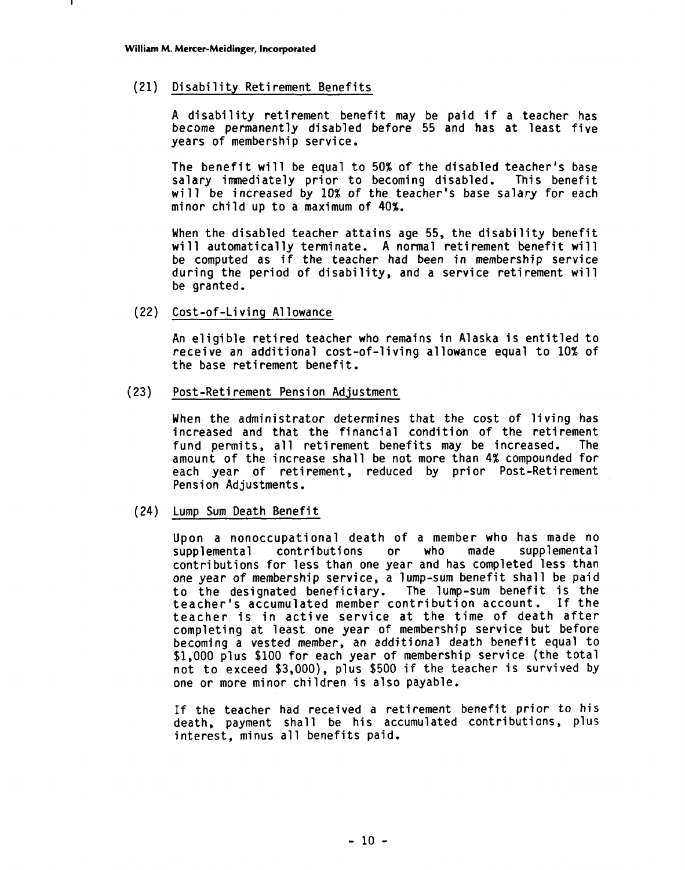### (21) Disability Retirement Benefits

A disability retirement benefit may be paid if a teacher has become permanently disabled before 55 and has at least five years of membership service.

The benefit will be equal to 50% of the disabled teacher's base salary immediately prior to becoming disabled. This benefit wi 11 be increased by 10% of the teacher's base salary for each minor child up to a maximum of 40%.

When the disabled teacher attains age 55, the disability benefit will automatically terminate. A normal retirement benefit will be computed as if the teacher had been in membership service during the period of disability, and a service retirement will be granted.

### (22) Cost-of-Living Allowance

An eligible retired teacher who remains in Alaska is entitled to receive an additional cost-of-living allowance equal to 10% of the base retirement benefit.<br>Post-Retirement Pension Adjustment

### $(23)$

When the administrator determines that the cost of living has increased and that the financial condition of the retirement fund permits, all retirement benefits may be increased. The amount of the increase shall be not more than 4% compounded for each year of retirement, reduced by prior Post-Retirement Pension Adjustments.

### (24) Lump Sum Death Benefit

Upon a nonoccupational death of a member who has made no<br>supplemental contributions or who made supplemental supplemental contributions contributions for less than one year and has completed less than one year of membership service, a lump-sum benefit shall be paid to the designated beneficiary. The lump-sum benefit is the teacher's accumulated member contribution account. If the teacher is in active service at the time of death after completing at least one year of membership service but before becoming a vested member, an additional death benefit equal to \$1,000 plus \$100 for each year of membership service (the total not to exceed \$3,000), plus \$500 if the teacher is survived by one or more minor children is also payable.

If the teacher had received a retirement benefit prior to his death, payment shall be his accumulated contributions, plus interest, minus all benefits paid.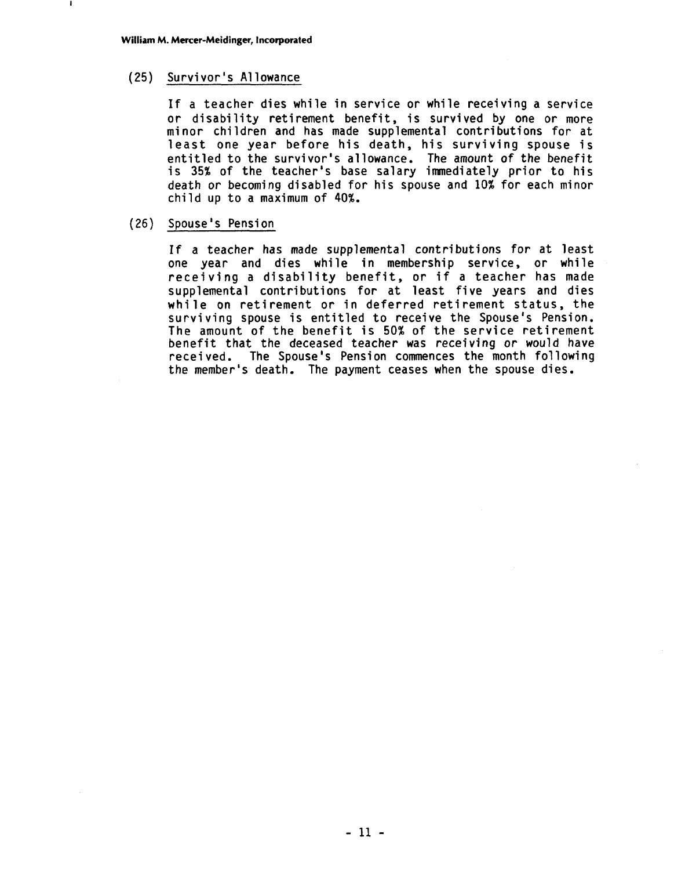# (25) Survivor's A1 lowance

If a teacher dies while in service or while receiving a service or disability retirement benefit, is survived by one or more mi nor children and has made supplemental contributions for at least one year before his death, his surviving spouse is entitled to the survivor's allowance. The amount of the benefit is 35% of the teacher's base salary immediately prior to his death or becoming disabled for his spouse and 10% for each minor child up to a maximum of 40%.

### (26) Spouse's Pension

If a teacher has made supplemental contributions for at least one year and dies while in membership service, or while receiving a disability benefit, or if a teacher has made supplemental contributions for at least five years and dies while on retirement or in deferred retirement status, the surviving spouse is entitled to receive the Spouse's Pension. The amount of the benefit is 50% of the service retirement benefit that the deceased teacher was receiving or would have received. The Spouse's Pension commences the month following the member's death. The payment ceases when the spouse dies.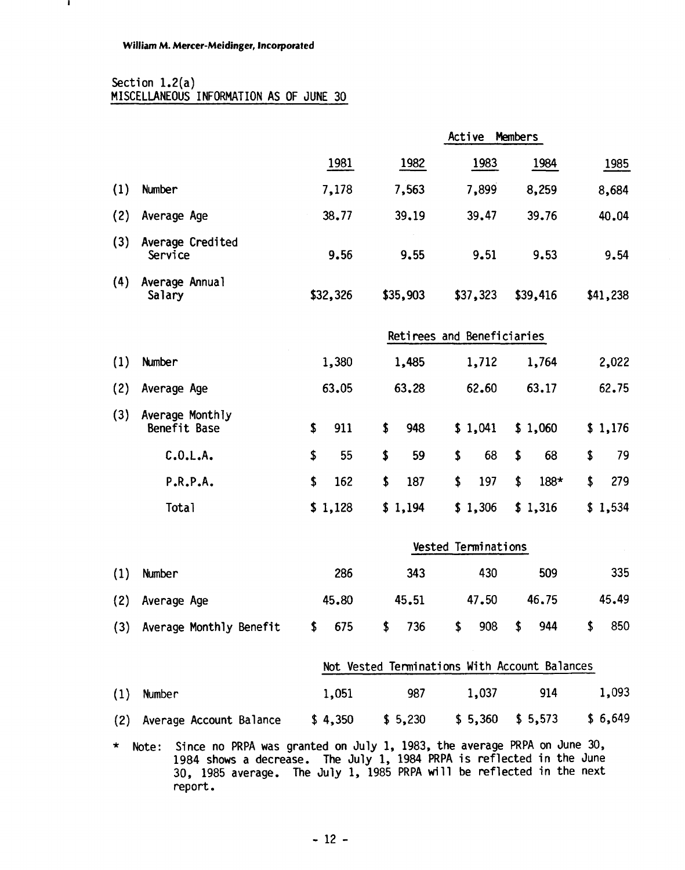# Section 1.2(a) MISCELLANEOUS INFORMATION AS OF JUNE 30

|     | MISCELLANEOUS INFORMATION AS OF JUNE 30       |               |           |                            |                      |           |  |  |  |  |  |
|-----|-----------------------------------------------|---------------|-----------|----------------------------|----------------------|-----------|--|--|--|--|--|
|     |                                               |               |           | Active                     | <b>Members</b>       |           |  |  |  |  |  |
|     |                                               | 1981          | 1982      | 1983                       | 1984                 | 1985      |  |  |  |  |  |
| (1) | Number                                        | 7,178         | 7,563     | 7,899                      | 8,259                | 8,684     |  |  |  |  |  |
| (2) | Average Age                                   | 38.77         | 39.19     | 39.47                      | 39.76                | 40.04     |  |  |  |  |  |
| (3) | Average Credited<br>Service                   | 9.56          | 9.55      | 9.51                       | 9.53                 | 9.54      |  |  |  |  |  |
| (4) | Average Annual<br>Salary                      | \$32,326      | \$35,903  | \$37,323                   | \$39,416             | \$41,238  |  |  |  |  |  |
|     |                                               |               |           | Retirees and Beneficiaries |                      |           |  |  |  |  |  |
| (1) | Number                                        | 1,380         | 1,485     | 1,712                      | 1,764                | 2,022     |  |  |  |  |  |
| (2) | Average Age                                   | 63.05         | 63.28     | 62.60                      | 63.17                | 62.75     |  |  |  |  |  |
| (3) | Average Monthly<br>Benefit Base               | \$<br>911     | \$<br>948 | \$1,041                    | \$1,060              | \$1,176   |  |  |  |  |  |
|     | C.0.L.A.                                      | \$<br>55      | \$<br>59  | \$<br>68                   | \$<br>68             | \$<br>79  |  |  |  |  |  |
|     | P.R.P.A.                                      | \$<br>162     | \$<br>187 | \$<br>197                  | \$<br>188*           | \$<br>279 |  |  |  |  |  |
|     | Tota1                                         | \$1,128       | \$1,194   | \$1,306                    | \$1,316              | \$1,534   |  |  |  |  |  |
|     |                                               |               |           | Vested Terminations        |                      |           |  |  |  |  |  |
| (1) | Number                                        | 286           | 343       | 430                        | 509                  | 335       |  |  |  |  |  |
| (2) | Average Age                                   | 45.80         | 45.51     | 47.50                      | 46.75                | 45.49     |  |  |  |  |  |
| (3) | Average Monthly Benefit                       | $\sim$<br>675 | \$<br>736 | $\frac{1}{2}$<br>908       | $\frac{1}{2}$<br>944 | 850<br>\$ |  |  |  |  |  |
|     | Not Vested Terminations With Account Balances |               |           |                            |                      |           |  |  |  |  |  |
| (1) | Number                                        | 1,051         | 987       | 1,037                      | 914                  | 1,093     |  |  |  |  |  |
| (2) | Average Account Balance                       | \$4,350       | \$5,230   | \$5,360                    | \$5,573              | \$6,649   |  |  |  |  |  |

\* Note: Since no PRPA was granted on July 1, 1983, the average PRPA on June 30, 1984 shows a decrease. The July 1, 1984 PRPA is reflected in the June 30, 1985 average. The July 1, 1985 PRPA **wi** 11 be reflected in the next report.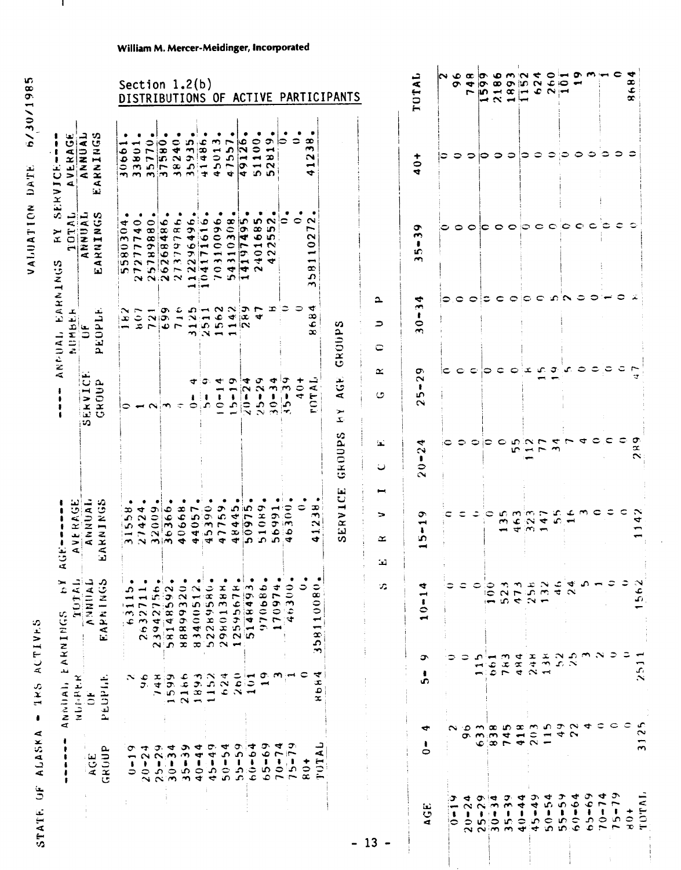| ACTIVES      |
|--------------|
|              |
|              |
|              |
|              |
|              |
|              |
| 384          |
|              |
|              |
|              |
| ŧ            |
|              |
| 4            |
|              |
|              |
|              |
|              |
|              |
| <b>ALASK</b> |
|              |
|              |
| Ë            |
|              |
| ATE.         |
|              |
|              |
|              |
| ST.          |
|              |

| w<br>98<br>$\overline{\phantom{0}}$<br>$\frac{1}{2}$<br>$\sum_{i=1}^{n}$ |  |
|--------------------------------------------------------------------------|--|
| ند<br>پ<br>۔<br>ذ                                                        |  |
| $rac{1}{2}$<br>$\frac{1}{4}$<br>VALU                                     |  |

|                                                                                             |                              |                                                                                |                                                                  |     |                                                                 |                            | Section $1.2(b)$                                                                                                                            |                                                                                    |                                                                |                                                                  |                                                                                           |                                                                                           | DISTRIBUTIONS OF ACTIVE PARTICIPANTS                                |                                                  |                           |                                                                                                      |                                            | TUTAL                                                                  | လဖေထ |             | $\sigma$ $\sigma$<br>$\overline{ }$ |                                               |                | 0.072<br>$- \alpha - -$ |                        |                                                                                                                                                 | $\bullet$                | بسوء<br>Ō<br>$\overline{\phantom{a}}$ | $\bullet$<br>$\sim$             |                                           |                                                        | ₩<br>$\pmb{\infty}$<br>E<br>œ |                                |
|---------------------------------------------------------------------------------------------|------------------------------|--------------------------------------------------------------------------------|------------------------------------------------------------------|-----|-----------------------------------------------------------------|----------------------------|---------------------------------------------------------------------------------------------------------------------------------------------|------------------------------------------------------------------------------------|----------------------------------------------------------------|------------------------------------------------------------------|-------------------------------------------------------------------------------------------|-------------------------------------------------------------------------------------------|---------------------------------------------------------------------|--------------------------------------------------|---------------------------|------------------------------------------------------------------------------------------------------|--------------------------------------------|------------------------------------------------------------------------|------|-------------|-------------------------------------|-----------------------------------------------|----------------|-------------------------|------------------------|-------------------------------------------------------------------------------------------------------------------------------------------------|--------------------------|---------------------------------------|---------------------------------|-------------------------------------------|--------------------------------------------------------|-------------------------------|--------------------------------|
| ANNUAL<br>RNINGS<br>VERAGE<br>4<br>$\blacktriangleleft$<br>$\overline{\phantom{a}}$<br>أيعا |                              |                                                                                |                                                                  |     |                                                                 |                            | $\begin{array}{cccc}\n3.0661, & 0.0000\\ 3.3801, & 0.0000\\ 3.57760, & 0.0000\\ 3.8240, & 0.0000\\ 3.84940, & 0.0000\\ 4.1486\n\end{array}$ |                                                                                    | $\sim$<br>4501                                                 | $\overline{ }$<br>۵<br>$\overline{a}$<br>$\overline{q}$          | $\frac{1}{2}$<br>$\overline{\phantom{a}}$<br>$\frac{1}{2}$                                | ۰<br>100<br>$\overline{\phantom{a}}$<br>ാ                                                 | ٠<br>ా<br>$\overline{\phantom{a}}$<br>$\mathfrak{D}$<br>$\sim$<br>ഹ | ⊝                                                | ٠<br>$\ddot{\phantom{a}}$ | $\infty$<br>m,<br>N<br>$\blacktriangleleft$<br>↔                                                     |                                            | $40+$                                                                  | ⊧⊃   |             | $\circ$ $\circ$                     | io.                                           | ಂ ೦            |                         | ⊳                      | $\circ$                                                                                                                                         | $\Rightarrow$            | ం                                     | ⊖                               | ≎                                         |                                                        |                               |                                |
| ERV<br>Ĵ.<br><b>ANNUAL</b><br>ANNUAL<br>IRNINGS<br>➤<br>Œ.<br>$\blacktriangleleft$<br>121   | ₹<br>$\bullet$<br>im.<br>١ın | $\ddot{q}$<br>$\overline{ }$<br>$\frac{1}{80}$<br>$\sim$<br>ln r               | $\bullet$<br>$\infty$<br>868<br>$\overline{ }$                   |     | 486.<br>$\frac{268}{379}$                                       |                            | 496<br>$\bullet$<br>$\bar{\tau}$<br>$\sim$<br>24<br>7.367240<br>$\rightarrow$                                                               | $\frac{1}{10}$<br>$\frac{6}{1}$<br>$\blacksquare$<br>$\overline{\phantom{a}}$<br>÷ | 096<br>310<br>$\overline{10}$                                  | 10308<br>$\overline{\phantom{m}}$<br>$\ddot{\phantom{0}}$<br>in. | kO.<br>$\frac{1}{4}$<br>F<br>İσ<br>$\blacksquare$<br>÷<br>⊢                               | 5<br>$\infty$<br>$\bullet$<br>$\blacksquare$<br>$\circ$<br>$\tilde{\mathbf{r}}$<br>$\sim$ | $\sim$<br><b>In</b><br>зO<br>$\sim$<br>$\sim$<br>₩                  | ¢                                                | $\bullet$                 | $\sim$<br>$\overline{\phantom{a}}$<br>$\sim$<br>0<br>$\overline{\phantom{a}}$<br>$\infty$<br>S.<br>m |                                            | ۰<br>$\bar{m}$<br>$\frac{1}{2}$<br>$\rightarrow$                       | ≎    |             |                                     |                                               |                |                         |                        | $\begin{array}{c} \circ \circ \circ \circ \circ \circ \circ \circ \circ \circ \end{array}$                                                      |                          |                                       |                                 | ಾ                                         | $\epsilon$                                             |                               |                                |
| EARNINGS<br>NUMBER<br>EOPLE<br>ستلمة<br>ANNOUAL,<br>$\Box$<br>Δ.                            | œ<br>i —                     | $\tilde{\cdot}$<br>ಾ                                                           |                                                                  |     | O۱<br>$N(0)$ $-$<br>$P\omega P$ $H$                             | -C                         | $\mathbf{\sim}$                                                                                                                             | $\blacksquare$<br>ം                                                                | $\bullet$<br>$m \times m -$                                    | $\blacktriangleright$<br>$5 - 5$                                 | $n - N \times 2$<br>ioc.                                                                  | ₩                                                                                         | ≖                                                                   | ಾ                                                | っ                         | -4<br>œ<br>$\ddot{\mathbf{e}}$                                                                       | $\Delta$<br>$\Rightarrow$<br>င             | $\frac{4}{3}$<br>$30 -$                                                | っ    | ≎           | $\circ$                             | ≎                                             | $\epsilon$     | $\circ$                 | ic.                    | $\mathbf C$                                                                                                                                     | 30N                      |                                       | ≎                               | 0                                         | ≎                                                      |                               |                                |
| ERVICE<br>GROUP<br><b>SO</b>                                                                |                              |                                                                                | $\circ$ $\sim$ $\sim$                                            |     |                                                                 |                            | T<br>ı<br>0                                                                                                                                 | σ.<br>$\alpha$                                                                     | $\blacktriangleleft$<br>$\pmb{\mathsf{t}}$                     | $15 - 19$                                                        | 4<br>$\sqrt{10-2}$                                                                        | $25 - 29$                                                                                 | <b>4</b><br>$30 - 3$                                                | $\frac{1}{2}$<br>$\overline{\Omega}$<br>ഹ<br>i≁. | $40+$                     | <b>FOTAL</b>                                                                                         | $\simeq$<br>↺                              | Ō<br>$\mathbf{\tilde{c}}$<br>$\pmb{\cdot}$<br>ما<br>$\bar{\mathbf{c}}$ | c    | $\bullet$   | $\Rightarrow$                       | $\circ$                                       | $\epsilon$     |                         | $\mathbf{C} \propto$   | ъC.                                                                                                                                             | ÷,                       | جما                                   | 0                               | ≎                                         | ≎                                                      | ء                             |                                |
|                                                                                             |                              |                                                                                |                                                                  |     |                                                                 |                            |                                                                                                                                             |                                                                                    |                                                                |                                                                  |                                                                                           |                                                                                           |                                                                     |                                                  |                           |                                                                                                      | 'nй<br>ں                                   | $20 - 24$                                                              | ∊    | $\circ$     |                                     | $\circ$ $\circ$                               | $\circ$        | m                       | en,                    | 0.025<br>$\sim$ m                                                                                                                               |                          | $\overline{ }$                        | 4                               | ≎                                         | €                                                      | ≂                             | σ<br>$\propto$                 |
| VERAGE<br>ANNUAL<br>$\ddot{\mathbf{c}}$<br>ARNINGS<br>¢,<br>ভূ                              |                              | $\infty$<br>م<br>i in                                                          | 424<br>$ \sim$ $\sim$<br>$m \propto m/m$                         | 600 | ¢<br>$\overline{36}$<br>انته ا                                  | 668<br>$\circ$             | 57<br>$\bullet$<br>$\blacktriangledown$ $\blacktriangledown$                                                                                | $\frac{1}{9}$<br>$\vec{v}$                                                         | ᡔ<br>in,<br>$\sim$<br>4.5 <sub>0</sub><br>$\blacktriangledown$ | 445<br>48                                                        | in.<br>097<br>J.                                                                          | o<br>$\frac{1}{2}$                                                                        | $\frac{1}{56}$                                                      | 1600<br>ဆ                                        | 0                         | သ<br>$\mathcal{L}$<br>$\boldsymbol{\sim}$<br>$\rightarrow$<br>$\bullet$                              | $\blacksquare$<br>$\Rightarrow$<br>≃<br>نت | ۰<br>$\overline{\phantom{0}}$<br>$\pmb{\cdot}$<br>S.<br>œН             | c    | ≎           | ء                                   | ≎                                             | $\rightarrow$  | ತಂ. ಗ್<br>$\mathbf{C}$  | $\sim$                 | $\mathbf{r}$<br>$\sim$ $\sim$<br>$\frac{1}{2}$ + $\frac{1}{2}$ + $\frac{1}{2}$ + $\frac{1}{2}$                                                  | SS.                      | عہ<br>$\rightarrow$                   | $m \in$                         |                                           | ≎                                                      |                               |                                |
| TOTAL<br><b>ANNUAL</b><br>$\mathbf{S}$<br>$\overline{K}$<br>EARNIN<br>EARNINGS              |                              | ٠<br>ഹ<br>$\overline{\phantom{a}}$<br>پسپ :<br>$\mathcal{L}(\mathbf{w})$<br>غ. | $\bullet$                                                        |     |                                                                 | ٠                          |                                                                                                                                             | ٠                                                                                  | ٠                                                              |                                                                  | 2632711,<br>53942756,<br>581485922,<br>83400512,<br>87859801388,<br>87859580,<br>1259578, | 970686                                                                                    | ÷<br>7097<br>$\overline{\phantom{a}}$                               | $\frac{1}{2}$<br>$\rightarrow$<br>ಾ<br>∵¢        | ٥                         | 0<br>œ<br>$\circ$<br>$\circ$<br>$\overline{\phantom{0}}$<br>⊷<br>δĄ                                  | $\mathcal{F}_\mathbf{a}$                   | ₹<br>⊶<br>ı<br>$\circ$<br>$\blacktriangleleft$                         |      | ≎           | ಂ                                   | $\ddot{\circ}$<br>$\overline{\phantom{a}}$    |                |                         |                        | $52322$<br>$5737$<br>$597$                                                                                                                      |                          | $\frac{6}{24}$<br>$\mathcal{A}$       | $\Omega$ $-$                    |                                           |                                                        |                               | م<br>آه                        |
| PEOPI.F.<br>NUMBER<br>ANNIAI.<br>$\ddot{\sigma}$                                            |                              | $\sim c$                                                                       | э.                                                               |     | 748<br>1599<br>2166                                             |                            |                                                                                                                                             |                                                                                    | $1893$<br>$1152$<br>$624$                                      | $\frac{1}{2}$                                                    | $\overline{\mathbf{5}}$<br>$\overline{\phantom{a}}$                                       | $\overline{\phantom{a}}$                                                                  | െ സ്—                                                               |                                                  | ⊂                         | $\rightarrow$<br>₹<br>œ<br>٥<br>x                                                                    |                                            | ە<br>$\bullet$<br>ഗ                                                    |      |             |                                     | ∽<br>$\blacksquare$                           | $\overline{6}$ |                         |                        |                                                                                                                                                 |                          | $\frac{25}{22}$                       |                                 | $m \approx 5$<br>≎                        | $\circ$                                                | ≎<br>⊂                        | $\mathcal{L}_{\ell}$<br>$\sim$ |
| AGE<br>GROUP                                                                                |                              | ᡋ<br>$\blacksquare$<br>$\bullet$<br>$\Rightarrow$                              | $\rightarrow$<br>$\sim$<br>$\ddot{\phantom{1}}$<br>$\frac{1}{2}$ |     | $\sigma$ at<br>$\mathbf{N}_1$<br>$\frac{1}{2}$<br>$\sim$ $\sim$ | ာ<br>$\tilde{z}$<br>$35 -$ | ¢<br>$40 - 4.$                                                                                                                              | တ<br>$\vec{r}$<br>$\mathbf{c}$<br>٠                                                |                                                                |                                                                  | $50 - 54$<br>$55 - 59$<br>$66 - 64$                                                       | $65 - 69$                                                                                 | ₹                                                                   | ∍<br>$\overline{r}$<br>$7^{0-7}_{5-}$            |                           | ᅴ<br>⋖<br>TUT<br>$\frac{4}{8}$                                                                       |                                            | ↔<br>$\ddot{\phantom{a}}$<br>$\circ$                                   |      | $\sim$      |                                     | $Q_1, Q_2, Q_3, Q_4$                          |                |                         |                        | $\mathbf{p}$ m $\mathbf{w}$ m $\mathbf{w}$ m $\mathbf{w}$ m $\mathbf{v}$ m $\mathbf{w}$<br>$\overline{\phantom{a}}$<br>$\overline{\phantom{0}}$ |                          | 4v                                    |                                 |                                           |                                                        |                               | $\rightarrow$                  |
|                                                                                             |                              |                                                                                |                                                                  |     |                                                                 |                            |                                                                                                                                             |                                                                                    |                                                                |                                                                  |                                                                                           |                                                                                           |                                                                     |                                                  |                           |                                                                                                      | $-13 -$                                    | ίü,<br>$\circ$<br>$\mathbf{d}$                                         |      | ு<br>1<br>≎ | ◅<br>$\sim$                         | $\omega$ $\approx$<br>$\sim$<br>$\frac{1}{2}$ |                | ο.<br>w                 | ᢦ<br>4<br>$\mathbf{I}$ | 54<br>₹<br>۱                                                                                                                                    | ر<br>و<br>$\bullet$<br>۱ | Ó<br>$\bullet$<br>50000               | $-69$<br>$\mathbf{c}^{\bullet}$ | ¢<br>$\pmb{\mathfrak{r}}$<br>$\mathbf{r}$ | ઝ<br>$\overline{ }$<br>$\frac{1}{2}$<br>$\overline{ }$ | $\frac{1}{2}$                 | <<br>TOT.                      |

 $\ddot{\phantom{0}}$ 

**William M. Mercer-Meidinger, Incorporated**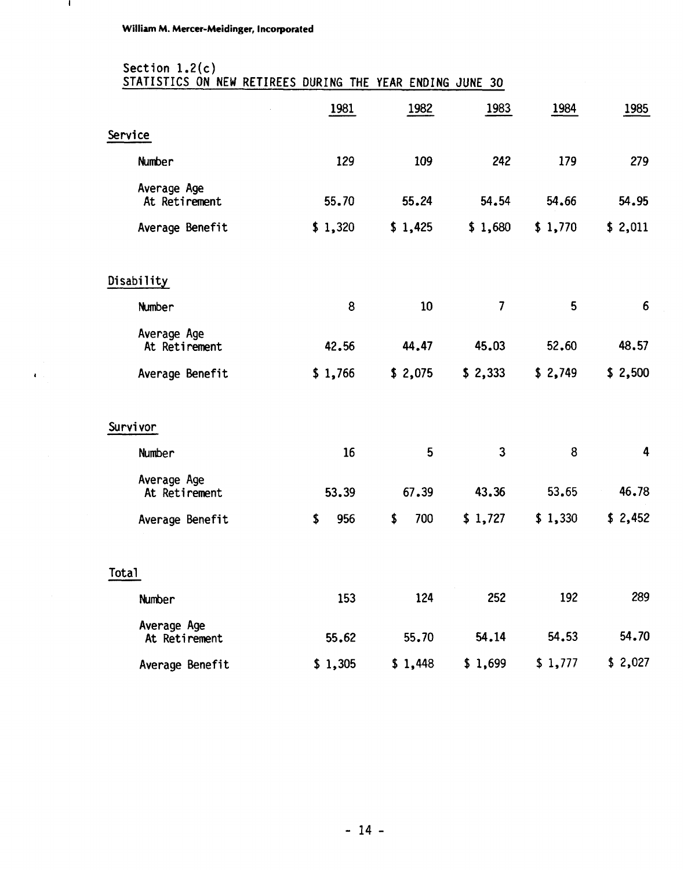$\pmb{\epsilon}$ 

# Section 1.2(c) STATISTICS ON NEW RETIREES DURING THE YEAR ENDING JUNE 30

|                              | 1981      | 1982      | 1983                     | 1984    | 1985    |
|------------------------------|-----------|-----------|--------------------------|---------|---------|
| Service                      |           |           |                          |         |         |
| Number                       | 129       | 109       | 242                      | 179     | 279     |
| Average Age<br>At Retirement | 55.70     | 55.24     | 54.54                    | 54.66   | 54.95   |
| Average Benefit              | \$1,320   | \$1,425   | \$1,680                  | \$1,770 | \$2,011 |
| Disability                   |           |           |                          |         |         |
| Number                       | 8         | 10        | $\overline{\mathcal{L}}$ | 5       | 6       |
| Average Age<br>At Retirement | 42.56     | 44.47     | 45.03                    | 52.60   | 48.57   |
| Average Benefit              | \$1,766   | \$2,075   | \$2,333                  | \$2,749 | \$2,500 |
| Survivor                     |           |           |                          |         |         |
| <b>Number</b>                | 16        | 5         | 3                        | 8       | 4       |
| Average Age<br>At Retirement | 53.39     | 67.39     | 43.36                    | 53.65   | 46.78   |
| Average Benefit              | \$<br>956 | \$<br>700 | \$1,727                  | \$1,330 | \$2,452 |
| Tota1                        |           |           |                          |         |         |
| <b>Number</b>                | 153       | 124       | 252                      | 192     | 289     |
| Average Age<br>At Retirement | 55.62     | 55.70     | 54.14                    | 54.53   | 54.70   |
| Average Benefit              | \$1,305   | \$1,448   | \$1,699                  | \$1,777 | \$2,027 |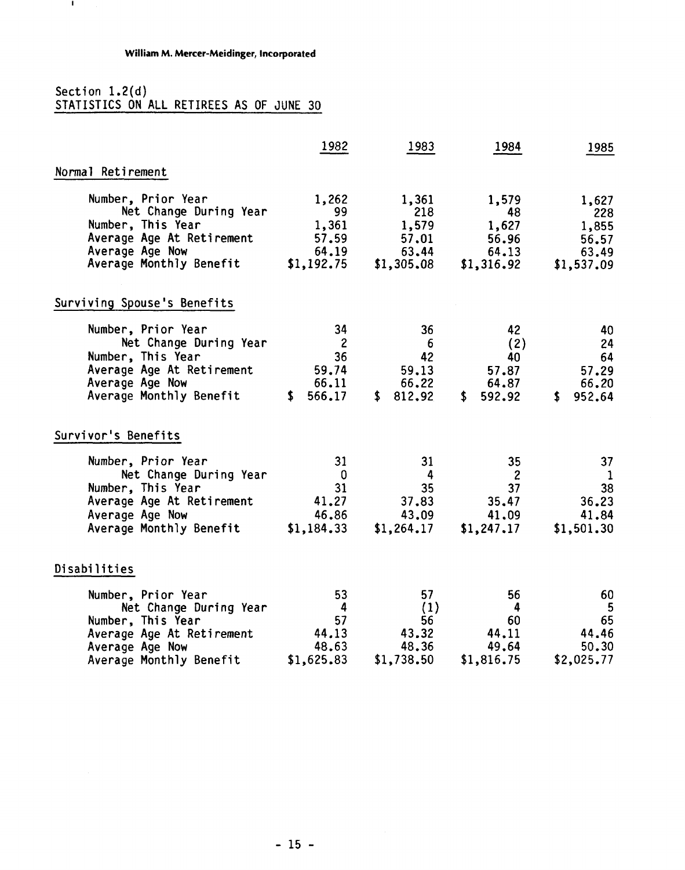### Section **1.2(d)**  STATISTICS ON ALL RETIREES AS OF JUNE 30

 $\mathcal{A}$ 

|                                                                                                                                                                    | 1982                                                     | 1983                                                               | 1984                                                       | 1985                                                     |
|--------------------------------------------------------------------------------------------------------------------------------------------------------------------|----------------------------------------------------------|--------------------------------------------------------------------|------------------------------------------------------------|----------------------------------------------------------|
| Normal Retirement                                                                                                                                                  |                                                          |                                                                    |                                                            |                                                          |
| Number, Prior Year<br>Net Change During Year<br>Number, This Year<br>Average Age At Retirement<br>Average Age Now<br>Average Monthly Benefit                       | 1,262<br>99<br>1,361<br>57.59<br>64.19                   | 1,361<br>218<br>1,579<br>57.01<br>63.44<br>$$1,192.75$ $$1,305.08$ | 1,579<br>48<br>1,627<br>56.96<br>64.13<br>\$1,316.92       | 1,627<br>228<br>1,855<br>56.57<br>63.49<br>\$1,537.09    |
| Surviving Spouse's Benefits                                                                                                                                        |                                                          |                                                                    |                                                            |                                                          |
| Number, Prior Year<br>Net Change During Year<br>Number, This Year<br>Average Age At Retirement<br>Average Age Now<br>Average Monthly Benefit                       | 34<br>$\overline{2}$<br>36<br>59.74<br>66.11<br>\$566.17 | 36<br>- 6<br>42<br>59.13<br>66,22<br>\$812.92                      | 42<br>(2)<br>40<br>57.87<br>64.87<br>\$592.92              | 40<br>24<br>64<br>57.29<br>66.20<br>952.64<br>\$         |
| Survivor's Benefits                                                                                                                                                |                                                          |                                                                    |                                                            |                                                          |
| Number, Prior Year<br>Net Change During Year<br>Number, This Year<br>Average Age At Retirement<br>Average Age Now<br>Average Monthly Benefit \$1,184.33 \$1,264.17 | 31<br>$\overline{\mathbf{0}}$<br>31<br>41.27<br>46.86    | 31<br>$\overline{4}$<br>35<br>37.83<br>43.09                       | 35<br>$\overline{c}$<br>37<br>35.47<br>41.09<br>\$1,247.17 | 37<br>$\mathbf{1}$<br>38<br>36.23<br>41.84<br>\$1,501.30 |
| Disabilities                                                                                                                                                       |                                                          |                                                                    |                                                            |                                                          |
| Number, Prior Year<br>Net Change During Year<br>Number, This Year<br>Average Age At Retirement<br>Average Age Now<br>Average Monthly Benefit                       | 53<br>4<br>57<br>44.13<br>48.63<br>\$1,625.83            | 57<br>(1)<br>56<br>43.32<br>48.36<br>\$1,738.50                    | 56<br>4<br>60<br>44,11<br>49.64<br>\$1,816.75              | 60<br>5<br>65<br>44.46<br>50.30<br>\$2,025.77            |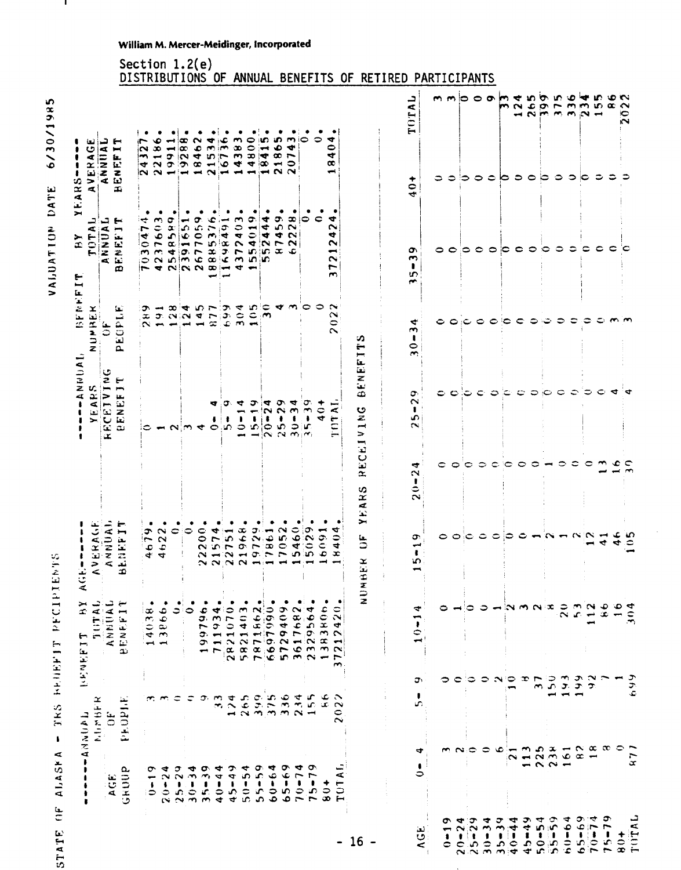# STATE OF ALASKA - TRS BEUEFIT PECIPIENTS

6/30/1985 VALUATION DATE  $\mathbf{I}$ 

|                         |                                                         | <b>TUNNATI</b>                                 | k x<br>LENEVIL                                                                                                    | AC                                                                                          |                                           | $-$ ANUU $-$                                                                                                                                                                                                       | BENEF<br>MRE                                              | ➤<br>≻<br>$\mathfrak{D}$<br>$\mathbf{L}$                                                                                                                                            | $\vec{\bm{\circ}}$<br>EARS                                                                                                           |                                                              |
|-------------------------|---------------------------------------------------------|------------------------------------------------|-------------------------------------------------------------------------------------------------------------------|---------------------------------------------------------------------------------------------|-------------------------------------------|--------------------------------------------------------------------------------------------------------------------------------------------------------------------------------------------------------------------|-----------------------------------------------------------|-------------------------------------------------------------------------------------------------------------------------------------------------------------------------------------|--------------------------------------------------------------------------------------------------------------------------------------|--------------------------------------------------------------|
|                         |                                                         | $\propto$<br>MUMBE                             | JULIO                                                                                                             | <b>AVERAGE</b><br>ANNUAL                                                                    |                                           |                                                                                                                                                                                                                    | -≍'<br>∍∶<br>z                                            |                                                                                                                                                                                     |                                                                                                                                      |                                                              |
|                         | AGE                                                     | $\ddot{\sigma}$                                | ANNUAL<br>ENEFIT                                                                                                  | ENEFIT                                                                                      |                                           | $\begin{array}{l} - - + \\ \text{Y} \to \text{A} \to \text{S} \\ \text{X} \to \text{Y} \to \text{V} \to \text{C} \\ \text{A} \to \text{C} \to \text{T} \to \text{T} \end{array}$<br>$\omega$ $\omega$<br>$\propto$ | EOPLE<br>ئغ<br>ت<br>$\overline{\mathbf{a}}$               | TOTAL<br>ANNUAL<br>ENEFIT<br>$\boldsymbol{\omega}$                                                                                                                                  | بع تہ ب<br>AVERAGE<br>ANNUAL<br>BENEFIT                                                                                              |                                                              |
|                         | GRUUP                                                   | PEOPLE                                         | نه                                                                                                                | œ                                                                                           |                                           |                                                                                                                                                                                                                    |                                                           |                                                                                                                                                                                     |                                                                                                                                      | DISTRIBUTIONS                                                |
|                         | ᡡ<br>⊷<br>$\pmb{\cdot}$<br>ಂ                            |                                                | $1 - \Phi$<br>$\infty$<br>1403                                                                                    | ᢌ<br>$=$                                                                                    |                                           |                                                                                                                                                                                                                    | െ<br>$\sim$ $-$                                           | ÷<br>ு<br>$\blacktriangleleft$<br>∣Ç<br>$\sim$<br>0                                                                                                                                 | 1. ●<br>r<br>$\sim$<br>$\blacksquare$<br>₹                                                                                           |                                                              |
|                         | 4<br>$\mathbf{\sim}$<br>$20 -$                          |                                                | 3866.<br>$\blacksquare$                                                                                           | $\sim$<br>$\sim$<br>$46$<br>$46$                                                            |                                           |                                                                                                                                                                                                                    | $\overline{\phantom{a}}$<br>$x \circ \alpha \circ \alpha$ | ٠<br>$\sim$<br>$\texttt{\large\simeq}$<br>٠<br>$\overline{\phantom{a}}$<br>$m = 0.7$<br>$\alpha$ in $\alpha$<br>$\frac{1}{2}$ and $\frac{1}{2}$ and $\frac{1}{2}$ and $\frac{1}{2}$ | ٠<br>$\bullet$<br>œ<br>$\overline{\phantom{0}}$<br>$\sim$ $\sigma$ $\sim$<br>$\sim$ $\sim$ $\sim$ $\sim$ $\sim$ $\sim$ $\sim$ $\sim$ |                                                              |
|                         | σ                                                       |                                                |                                                                                                                   | 0                                                                                           |                                           |                                                                                                                                                                                                                    | $\infty$                                                  | σ                                                                                                                                                                                   | $\bullet$ !<br>₩<br>$\overline{\phantom{0}}$                                                                                         |                                                              |
|                         | $25 - 2$                                                | ≎                                              | $\bullet$                                                                                                         | ೦                                                                                           |                                           | $ \alpha$ $\alpha$ $\alpha$ $\alpha$                                                                                                                                                                               | すちてつすめのするのの<br>$\rightarrow$                              | بي<br>58.5<br>$\alpha = \overline{r}$                                                                                                                                               | ٠<br>¦ŒP<br>lœ.<br>$\sigma$ $\sim$                                                                                                   |                                                              |
|                         | จ<br>$\rightarrow$<br>$\frac{1}{3}$                     | σ.                                             | $\overline{ }$<br>o.<br>Ĉ                                                                                         | $\bullet$<br>$\sim$<br>$\sim$                                                               |                                           |                                                                                                                                                                                                                    | $\overline{\phantom{a}}$                                  | σ.                                                                                                                                                                                  | $\sim$<br>$\bullet$<br>$\blacktriangledown$                                                                                          |                                                              |
|                         | o<br>$\rightarrow$<br>$35 -$                            |                                                | 3.4                                                                                                               | ෑ<br>$\circ$ $\sim$<br>S.                                                                   |                                           | ₩<br>÷                                                                                                                                                                                                             | $\infty$                                                  | ٩Ć<br>$\mathfrak{F}$                                                                                                                                                                | $\blacksquare$                                                                                                                       |                                                              |
|                         | ᢦ<br>4<br>$40-$                                         | J,<br>×.                                       | 1934<br>$\blacksquare$<br>$\alpha$                                                                                | $\overline{\phantom{0}}$<br>in.<br>r<br>$\rightarrow \infty$<br>$\sim$ $\sim$ $\sim$ $\sim$ |                                           | σ.<br>ŧ                                                                                                                                                                                                            |                                                           | سي<br>¢<br>₹<br>$\ln  \alpha $<br>$\alpha$ $\alpha \sim \alpha$ in<br>.co.j⊄ m in¦in                                                                                                | $\bullet$<br>Ö.<br>نعا ئىل<br>$m \sim m$<br>$-104$                                                                                   | 0F                                                           |
|                         | ᡔ<br>4<br>$45 -$                                        | $\frac{174}{265}$                              | 1403<br>$\sim$<br>$\frac{\alpha}{5}$                                                                              | $\frac{8}{6}$<br>Ó<br>$\overline{\phantom{a}}$                                              |                                           | ≂<br>$\bullet$<br>$\ddot{\phantom{1}}$<br>÷                                                                                                                                                                        | စကား                                                      | $\mathbf{r}$<br>$\frac{0}{4}$<br>$\sim$                                                                                                                                             | ٠<br>$\sim$<br>$\infty$                                                                                                              |                                                              |
|                         | ₹<br>က<br>$50 -$                                        |                                                | $7871$<br>6697<br>57294<br>$\ddot{\sim}$                                                                          |                                                                                             |                                           | ూ<br>ŧ<br>$\mathbf{D}$<br>$\rightarrow$                                                                                                                                                                            |                                                           | o.<br>401<br>$\blacksquare$                                                                                                                                                         | ٠<br>$\bullet$<br>$\overline{8}$<br>$\blacktriangledown$                                                                             | <b>ANNUAL</b>                                                |
|                         | O,<br>$55 - 5$                                          |                                                | 1862                                                                                                              | יידי י<br>$\mathbf{N}, \mathbf{C}$<br>$\frac{1}{9}$<br>$\frac{1}{1}$<br>$-$                 |                                           | $\blacktriangleright$<br>$\sim$<br>$\overline{6}$                                                                                                                                                                  | $\infty$                                                  | $\blacktriangledown$<br>4<br>◆<br>l N                                                                                                                                               | ٠<br>$\blacksquare$<br>l er                                                                                                          |                                                              |
|                         | ₹<br>$60 - 6$                                           |                                                |                                                                                                                   |                                                                                             |                                           |                                                                                                                                                                                                                    |                                                           | မာ                                                                                                                                                                                  | ۰<br>$\infty$<br>$\infty$ $\rightarrow$<br>$\sim$ $\sim$                                                                             |                                                              |
|                         | نې<br>په<br>ΙÒ,<br>$\bullet$                            |                                                | 409                                                                                                               | $\sim$<br>$\mathbf{r}$                                                                      |                                           | o.<br>$5 - 2$<br>$\sim$ $\sim$ $\sim$ $\sim$                                                                                                                                                                       |                                                           | o.<br>4<br>$\overline{ }$<br>$\infty$                                                                                                                                               | ٠<br>$\mathbf{in} \mathbf{m}$ mio<br>$\overline{\phantom{a}}$                                                                        |                                                              |
|                         | ▿<br>$70 - 7$                                           |                                                | 7682<br>361                                                                                                       | $\frac{6}{9}$                                                                               |                                           | ₹<br>$\sim$<br>$\pmb{\ast}$<br>$\Rightarrow$                                                                                                                                                                       |                                                           | œ<br>$\sim$<br>$\sim$<br>$\sim$<br>- 0                                                                                                                                              | ◆<br>っ<br>$\sim$                                                                                                                     |                                                              |
|                         | σ<br>$\overline{ }$<br>$\bullet$<br>ு<br>$\blacksquare$ | $\frac{5}{2}$<br>$\overline{\phantom{0}}$      | $\blacktriangledown$<br>956<br>$\overline{\mathbf{3}}$<br>$\sim$                                                  | ᡡ<br>546                                                                                    |                                           | σ.<br>$\bullet$<br>٠<br>¦ir.                                                                                                                                                                                       |                                                           | 0                                                                                                                                                                                   | ٠                                                                                                                                    | <b>BENEFITS</b>                                              |
|                         |                                                         | نه<br>نگ                                       | $\frac{6}{3}$<br>$\rightarrow$<br>$\frac{3}{2}$                                                                   | $\frac{6}{3}$<br>$\bullet$                                                                  |                                           | ٠<br>$\ddot{q}$                                                                                                                                                                                                    |                                                           | ٠<br>$\mathbf{C}$                                                                                                                                                                   | ٠<br>$\circ$                                                                                                                         |                                                              |
|                         | ⋖<br>٠<br>$\overline{5}$<br>$\frac{0}{8}$<br>н          | $\tilde{\phantom{a}}$<br>$\sim$<br>0<br>$\sim$ | ٠<br>$\bullet$<br>$\mathbf{\tilde{N}}$<br>¢<br>$\sim$<br>$\overline{\phantom{a}}$<br>$\sim$<br>⊢<br>$\rightarrow$ | J<br>0<br>4<br>æ                                                                            |                                           | $\overline{z}$<br>$\overline{\overline{C}}$<br>Н                                                                                                                                                                   | 202                                                       | ¢<br>$\sim$<br>ෑ<br>$\sim$<br>⊷<br>$\sim$<br>∼<br>$\sim$                                                                                                                            | $\blacktriangledown$<br>0<br>₹<br>œ<br>أسب                                                                                           |                                                              |
|                         |                                                         |                                                |                                                                                                                   | $\rightarrow$<br>とこ<br>x<br>نعة<br>NUMB                                                     | ARS <sup>3</sup><br>$\hat{\mathbf{r}}$    | BENEFIT<br>PECEIVING                                                                                                                                                                                               | s,                                                        |                                                                                                                                                                                     |                                                                                                                                      | 0F<br><b>RETIRED</b>                                         |
|                         | ٠<br>0                                                  | ,<br>دى<br>ෑ                                   | ₹<br>$10 - 1$<br>ວາ                                                                                               | ာ<br>۱O                                                                                     | ¢<br>$\scriptstyle\sim$<br>$\frac{1}{20}$ | o.<br>$\sim$<br>م<br>$\sim$                                                                                                                                                                                        | 4<br>$\mathbf{\tilde{c}}$<br>$\ddot{\circ}$<br>$\sim$     | Ō<br>$\rightarrow$<br>$\bullet$<br>ما<br>$\sim$                                                                                                                                     | $\ddot{+}0$                                                                                                                          | TOTAL                                                        |
|                         |                                                         |                                                |                                                                                                                   |                                                                                             | c                                         |                                                                                                                                                                                                                    |                                                           |                                                                                                                                                                                     |                                                                                                                                      | PARTICIPANTS                                                 |
| ۰                       |                                                         |                                                |                                                                                                                   |                                                                                             | 0                                         |                                                                                                                                                                                                                    |                                                           | 00                                                                                                                                                                                  | ೦ ೦                                                                                                                                  |                                                              |
| $10 - 24$<br>$5 - 29$   |                                                         |                                                |                                                                                                                   | င္ ေ                                                                                        | $\bullet$                                 | 00000000000                                                                                                                                                                                                        | $\circ \circ \circ \circ \circ \circ \circ$               |                                                                                                                                                                                     |                                                                                                                                      |                                                              |
|                         |                                                         |                                                | ၁                                                                                                                 | ာ                                                                                           | $\circ$                                   |                                                                                                                                                                                                                    |                                                           |                                                                                                                                                                                     |                                                                                                                                      |                                                              |
| $\overline{\mathbf{3}}$ |                                                         | ≎                                              | ⊃                                                                                                                 | ਼੦                                                                                          | $\bullet$                                 |                                                                                                                                                                                                                    |                                                           |                                                                                                                                                                                     |                                                                                                                                      |                                                              |
| $\frac{5}{2}$           |                                                         | عا                                             |                                                                                                                   |                                                                                             | ಂ                                         |                                                                                                                                                                                                                    |                                                           | 0000                                                                                                                                                                                |                                                                                                                                      | m                                                            |
|                         | Ñ                                                       |                                                | ∘                                                                                                                 | ≎                                                                                           |                                           |                                                                                                                                                                                                                    |                                                           |                                                                                                                                                                                     |                                                                                                                                      |                                                              |
| $45 - 49$               |                                                         | ∽                                              | x                                                                                                                 | 0                                                                                           | $\circ$ $\circ$                           |                                                                                                                                                                                                                    |                                                           |                                                                                                                                                                                     |                                                                                                                                      |                                                              |
|                         | $\frac{1}{2}$ $\frac{2}{2}$ $\frac{3}{2}$               | ണ<br>م                                         | 25.52<br>∼                                                                                                        |                                                                                             |                                           |                                                                                                                                                                                                                    | ಂ.ಎಂ                                                      | $\circ \circ \circ \circ$                                                                                                                                                           | 500600                                                                                                                               |                                                              |
|                         |                                                         | $\infty$                                       | $\tilde{S}$                                                                                                       | $\sim$                                                                                      | $\rightarrow$                             |                                                                                                                                                                                                                    |                                                           |                                                                                                                                                                                     |                                                                                                                                      |                                                              |
|                         |                                                         | $\overline{\phantom{a}}$                       | $\frac{5}{2}$<br>$\mathfrak{T}$                                                                                   | $-0.02 -$                                                                                   | ೦                                         |                                                                                                                                                                                                                    | ಾ                                                         | $\bullet$                                                                                                                                                                           | $\circ \circ \circ$                                                                                                                  | $ \sim$ $\sim$ $\sim$ $\sim$ $\sim$ $-$                      |
|                         | $\infty$                                                |                                                | ch                                                                                                                |                                                                                             | ≎                                         |                                                                                                                                                                                                                    |                                                           | င                                                                                                                                                                                   |                                                                                                                                      |                                                              |
| ₹                       |                                                         | ᡔ<br>$\alpha$                                  | N<br>$\overline{\phantom{0}}$                                                                                     |                                                                                             | O                                         | ≂                                                                                                                                                                                                                  | - ၁၀                                                      |                                                                                                                                                                                     | ≂                                                                                                                                    |                                                              |
| ວາ                      |                                                         | က င                                            | ه<br>œ                                                                                                            | $\blacktriangledown$                                                                        | $\sim$                                    | $\mathbf C$                                                                                                                                                                                                        |                                                           | $\circ$ $\circ$                                                                                                                                                                     | ಾ                                                                                                                                    | mmooomenon oen on<br>$N$ $0$ $N$ $N$ $N$ $N$ $N$ $N$ $N$ $N$ |
|                         |                                                         |                                                | مت                                                                                                                | مب عب<br>$\ddot{\phantom{0}}$                                                               | ∙                                         |                                                                                                                                                                                                                    |                                                           |                                                                                                                                                                                     |                                                                                                                                      | $\hat{}$<br>$\bullet$<br>Ñ                                   |
| TUTAL                   | $\overline{a}$                                          | 699                                            | ◅<br>≎<br>$\rightarrow$                                                                                           | ≎                                                                                           | ≂                                         |                                                                                                                                                                                                                    |                                                           |                                                                                                                                                                                     |                                                                                                                                      |                                                              |
|                         |                                                         |                                                |                                                                                                                   |                                                                                             |                                           |                                                                                                                                                                                                                    |                                                           |                                                                                                                                                                                     |                                                                                                                                      |                                                              |

### **William M. Mercer-Meidinger, incorporated**

Section **1.2(e)**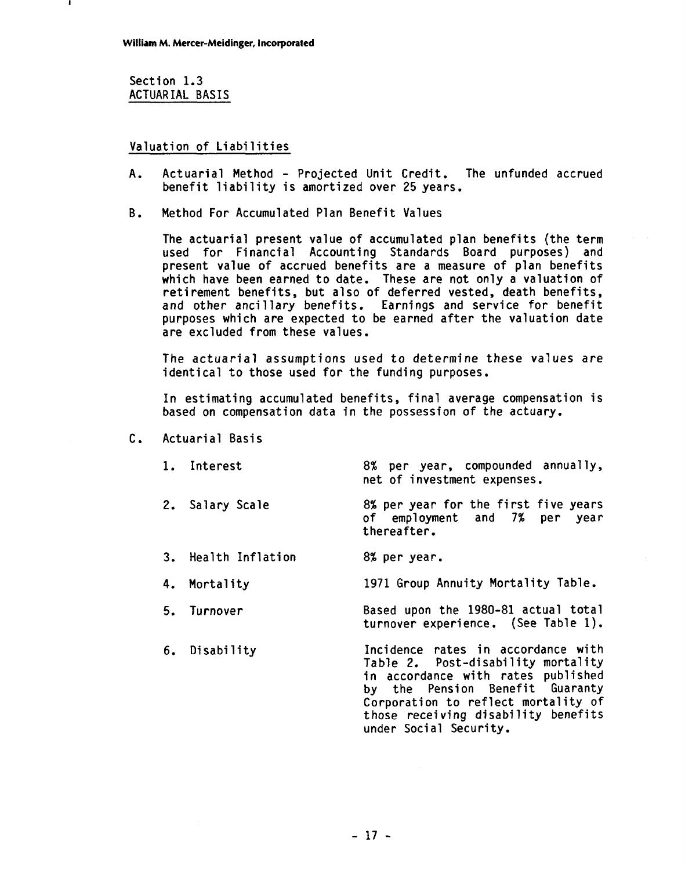Section 1.3 ACTUAR IAL BASIS

### Valuation of Liabilities

- A. Actuarial Method Projected Unit Credit. The unfunded accrued benefit liability is amortized over 25 years.
- B. Method For Accumulated Plan Benefit Values

The actuarial present value of accumulated plan benefits (the term used for Financial Accounting Standards Board purposes) and present value of accrued benefits are a measure of plan benefits which have been earned to date. These are not only a valuation of retirement benefits, but also of deferred vested, death benefits, and other ancillary benefits. Earnings and service for benefit purposes which are expected to be earned after the valuation date are excluded from these values.

The actuarial assumptions used to determine these values are identical to those used for the funding purposes.

In estimating accumulated benefits, final average compensation is based on compensation data in the possession of the actuary.

- C. Actuarial Basis
	- 1. Interest 8% per year, compounded annually, net of investment expenses.
	- 2. Salary Scale 8% per year for the first five years of employment and 7% per year thereafter.
	- 3. Health Inflation 8% per year.
	- 4. Mortality 1971 Group Annuity Mortality Table.
	- 5. Turnover Based upon the 1980-81 actual total turnover experience. (See Table 1).
	- 6. Disability Incidence rates in accordance with<br>Table 2. Post-disability mortality in accordance with rates published by the Pension Benefit Guaranty Corporation to reflect mortality of<br>those receiving disability benefits those receiving disability benefits<br>under Social Security.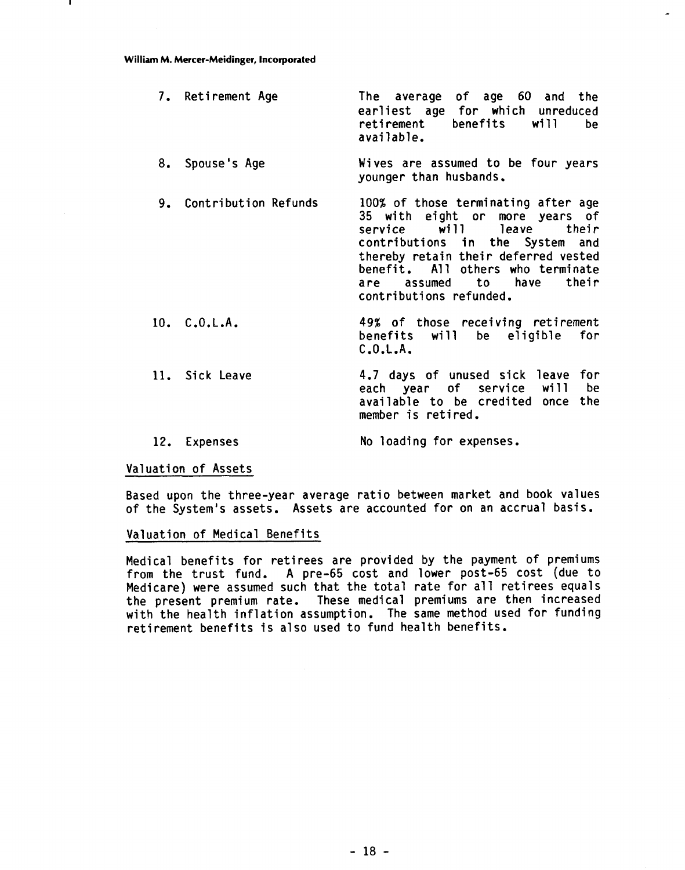#### **William M. Mercer-Meidinger, Incorporated**

| 7. Retirement Age       | The average of age 60 and the<br>earliest age for which unreduced<br>retirement benefits will<br>be<br>available.                                                                                                                                                            |
|-------------------------|------------------------------------------------------------------------------------------------------------------------------------------------------------------------------------------------------------------------------------------------------------------------------|
| 8. Spouse's Age         | Wives are assumed to be four years<br>younger than husbands.                                                                                                                                                                                                                 |
| 9. Contribution Refunds | 100% of those terminating after age<br>35 with eight or more years of<br>service will leave their<br>contributions in the System and<br>thereby retain their deferred vested<br>benefit. All others who terminate<br>are assumed to have<br>their<br>contributions refunded. |
| 10. C.0.L.A.            | 49% of those receiving retirement<br>benefits will be eligible for<br>C.0.L.A.                                                                                                                                                                                               |
| 11. Sick Leave          | 4.7 days of unused sick leave for<br>each year of service will<br>be<br>available to be credited once the<br>member is retired.                                                                                                                                              |

12. Expenses No loading for expenses.

### Valuation of Assets

Based upon the three-year average ratio between market and book values of the System's assets. Assets are accounted for on an accrual basis.

### Valuation of Medical Benefits

Medical benefits for retirees are provided by the payment of premiums from the trust fund. A pre-65 cost and lower post-65 cost (due to Medicare) were assumed such that the total rate for all retirees equals the present premium rate. These medical premiums are then increased with the health inflation assumption. The same method used for funding retirement benefits is also used to fund health benefits.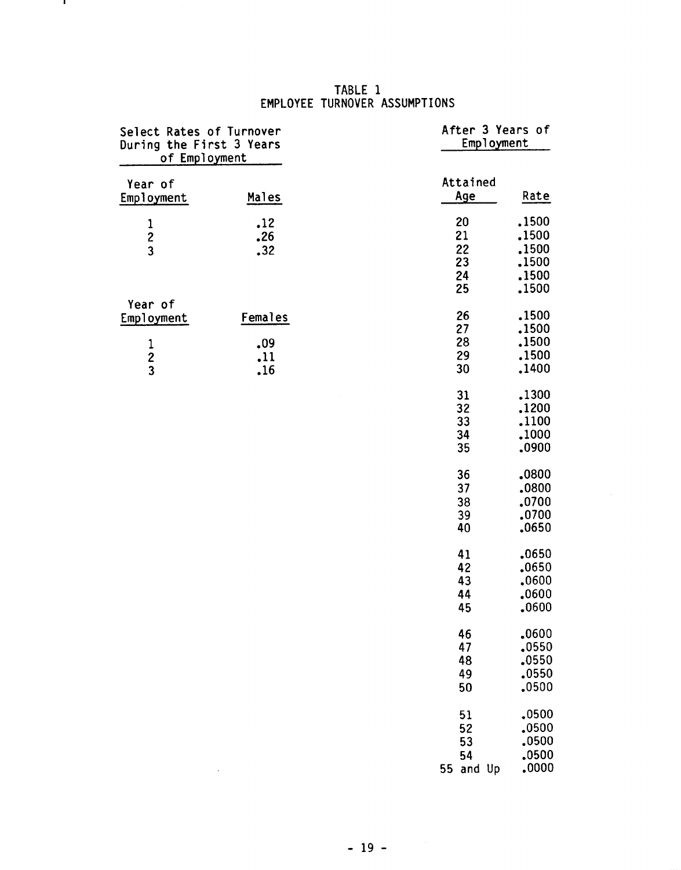### **TABLE 1 EMPLOYEE TURNOVER ASSUMPTIONS**

- 11

| Select Rates of Turnover<br>During the First 3 Years<br>of Employment |                              | After 3 Years of<br>Employment    |                                                    |
|-----------------------------------------------------------------------|------------------------------|-----------------------------------|----------------------------------------------------|
| Year of<br>Employment                                                 | Males                        | Attained<br>Age                   | Rate                                               |
| $\frac{1}{2}$                                                         | .12<br>.26<br>.32            | 20<br>21<br>22<br>23<br>24<br>25  | .1500<br>.1500<br>.1500<br>.1500<br>.1500<br>.1500 |
| Year of<br>Employment<br>$\begin{array}{c} 1 \\ 2 \\ 3 \end{array}$   | Females<br>.09<br>.11<br>.16 | 26<br>27<br>28<br>29<br>30        | .1500<br>.1500<br>.1500<br>.1500<br>.1400          |
|                                                                       |                              | 31<br>32<br>33<br>34<br>35        | .1300<br>.1200<br>.1100<br>.1000<br>.0900          |
|                                                                       |                              | 36<br>37<br>38<br>39<br>40        | .0800<br>.0800<br>.0700<br>.0700<br>.0650          |
|                                                                       |                              | 41<br>42<br>43<br>44<br>45        | .0650<br>.0650<br>.0600<br>.0600<br>.0600          |
|                                                                       |                              | 46<br>47<br>48<br>49<br>50        | .0600<br>.0550<br>.0550<br>.0550<br>.0500          |
|                                                                       | ,                            | 51<br>52<br>53<br>54<br>55 and Up | ,0500<br>.0500<br>.0500<br>.0500<br>,0000          |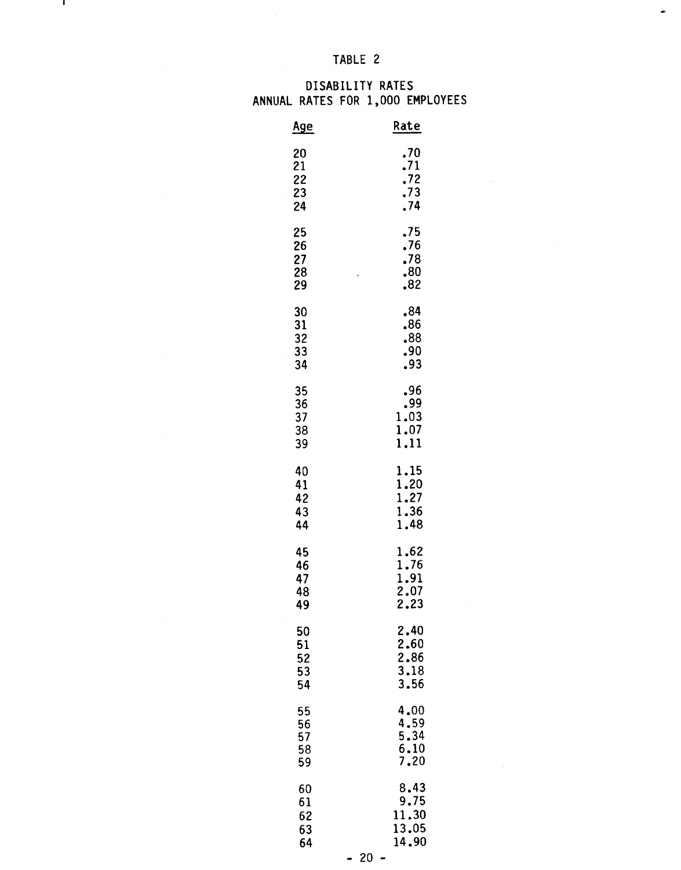# **TABLE** 2

 $\frac{1}{2}$ 

 $\mathbf{I}$ 

### **DISABILITY RATES ANNUAL RATES FOR 1,000 EMPLOYEES**

| <u>Age</u>                 | Rate                                 |
|----------------------------|--------------------------------------|
| 20                         | .70                                  |
| 21                         | .71                                  |
| 22                         | .72                                  |
| 23                         | .73                                  |
| 24                         | .74                                  |
| 25<br>26<br>27<br>28<br>29 | .75<br>.76<br>.78<br>.80<br>ł<br>.82 |
| 30                         | .84                                  |
| 31                         | .86                                  |
| 32                         | .88                                  |
| 33                         | .90                                  |
| 34                         | .93                                  |
| 35<br>36<br>37<br>38<br>39 | .96<br>.99<br>1.03<br>1.07<br>1,11   |
| 40                         | 1.15                                 |
| 41                         | 1.20                                 |
| 42                         | 1.27                                 |
| 43                         | 1.36                                 |
| 44                         | 1.48                                 |
| 45                         | 1.62                                 |
| 46                         | 1.76                                 |
| 47                         | 1.91                                 |
| 48                         | 2.07                                 |
| 49                         | 2.23                                 |
| 50                         | 2.40                                 |
| 51                         | 2.60                                 |
| 52                         | 2.86                                 |
| 53                         | $\overline{3.18}$                    |
| 54                         | 3.56                                 |
| 55                         | 4.00                                 |
| 56                         | 4.59                                 |
| 57                         | 5.34                                 |
| 58                         | 6.10                                 |
| 59                         | 7.20                                 |
| 60                         | 8.43                                 |
| 61                         | 9.75                                 |
| 62                         | 11.30                                |
| 63                         | 13.05                                |
| 64                         | 14.90                                |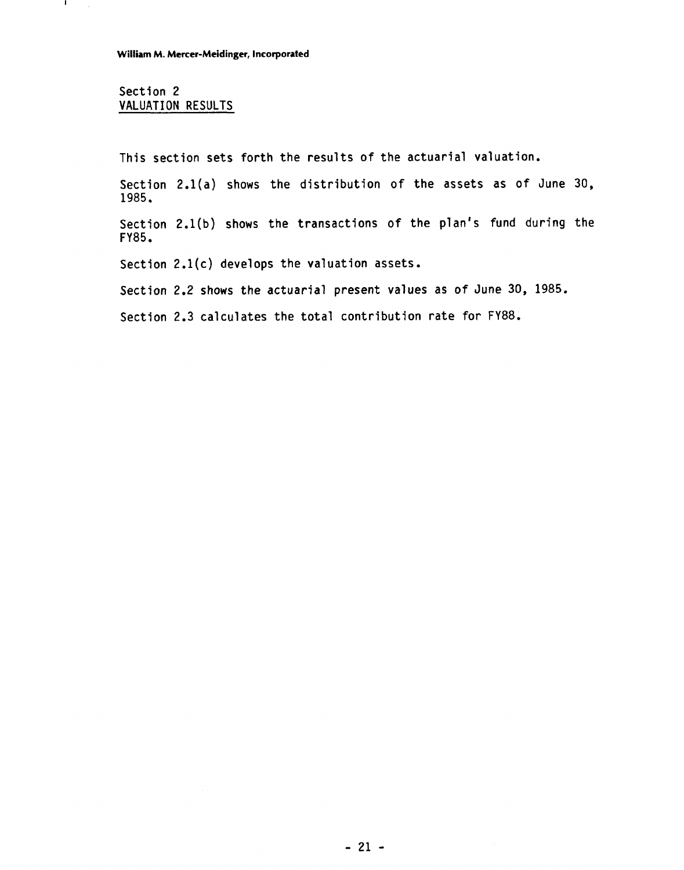### Section 2 VALUATION RESULTS

 $\mathbf{I}$ 

This section sets forth the results of the actuarial valuation.

Section 2.l(a) shows the distribution of the assets as of June 30, 1985.

Section 2.l(b) shows the transactions of the plan's fund during the FY85.

Section  $2.1(c)$  develops the valuation assets.

Section 2.2 shows the actuarial present values as of June 30, 1985.

Section 2.3 calculates the total contribution rate for FY88.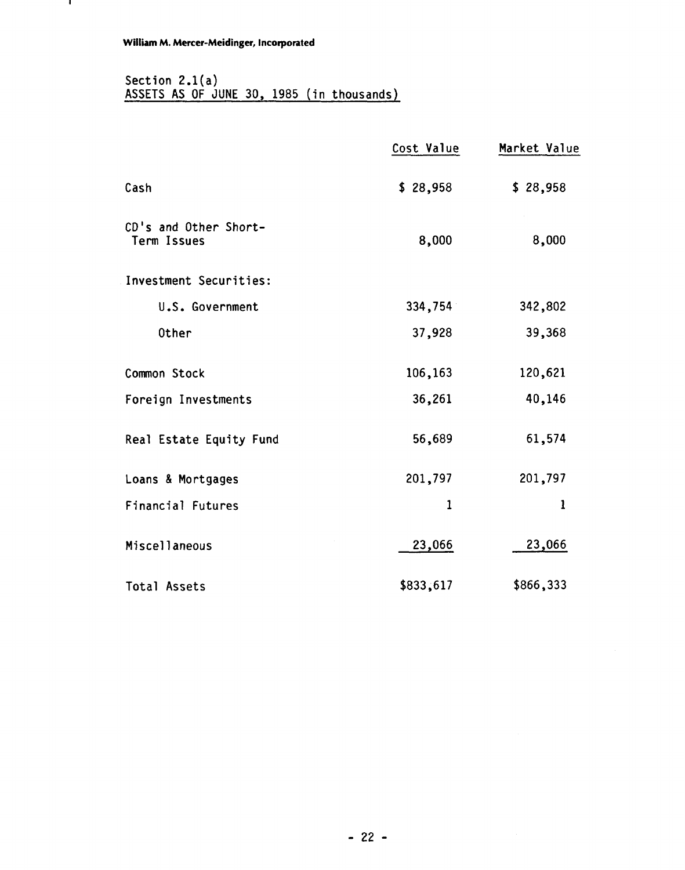# Section 2.l(a) ASSETS AS OF JUNE 30, 1985 (in thousands)

|                                      | Cost Value  | Market Value |
|--------------------------------------|-------------|--------------|
| Cash                                 | \$28,958    | \$28,958     |
| CD's and Other Short-<br>Term Issues | 8,000       | 8,000        |
| Investment Securities:               |             |              |
| U.S. Government                      | 334,754     | 342,802      |
| Other                                | 37,928      | 39,368       |
| Common Stock                         | 106,163     | 120,621      |
| Foreign Investments                  | 36,261      | 40,146       |
| Real Estate Equity Fund              | 56,689      | 61,574       |
| Loans & Mortgages                    | 201,797     | 201,797      |
| <b>Financial Futures</b>             | $\mathbf 1$ | $\mathbf{1}$ |
| <b>Miscellaneous</b>                 | 23,066      | 23,066       |
| <b>Total Assets</b>                  | \$833,617   | \$866,333    |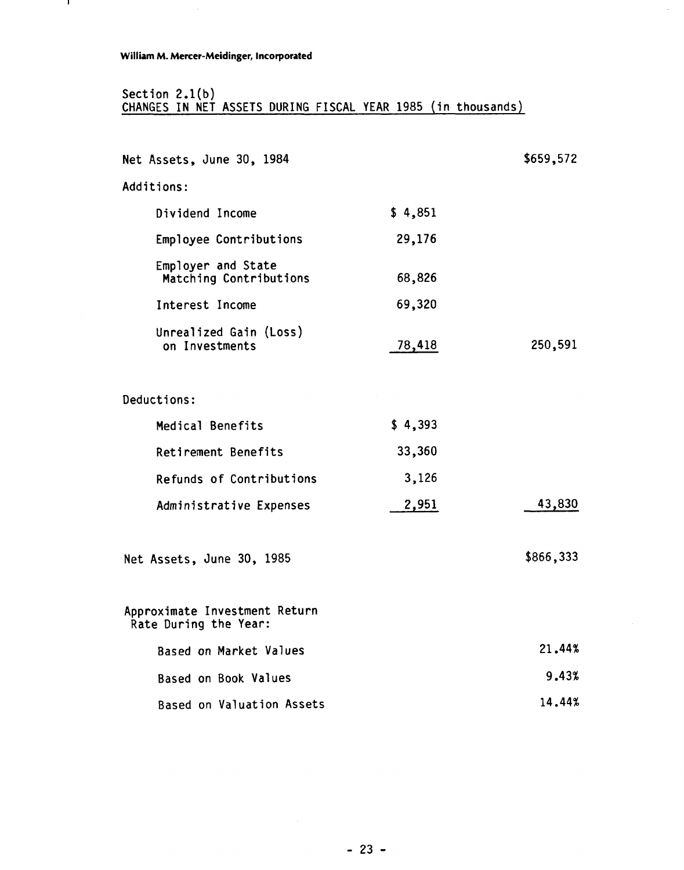# **William M. Mercer-Meidinger, Incorporated**

 $\bar{z}$ 

 $\mathbf{I}$ 

### Section 2.l(b) CHANGES IN NET ASSETS DURING FISCAL YEAR 1985 (in thousands)

| Net Assets, June 30, 1984                              |         | \$659,572 |
|--------------------------------------------------------|---------|-----------|
| Additions:                                             |         |           |
| Dividend Income                                        | \$4,851 |           |
| Employee Contributions                                 | 29,176  |           |
| Employer and State<br>Matching Contributions           | 68,826  |           |
| Interest Income                                        | 69,320  |           |
| Unrealized Gain (Loss)<br>on Investments               | 78,418  | 250,591   |
| Deductions:                                            |         |           |
| Medical Benefits                                       | \$4,393 |           |
| Retirement Benefits                                    | 33,360  |           |
| Refunds of Contributions                               | 3,126   |           |
| Administrative Expenses                                | 2,951   | 43,830    |
| Net Assets, June 30, 1985                              |         | \$866,333 |
| Approximate Investment Return<br>Rate During the Year: |         |           |
| Based on Market Values                                 |         | 21.44%    |
| <b>Based on Book Values</b>                            |         | 9.43%     |
| Based on Valuation Assets                              |         | 14.44%    |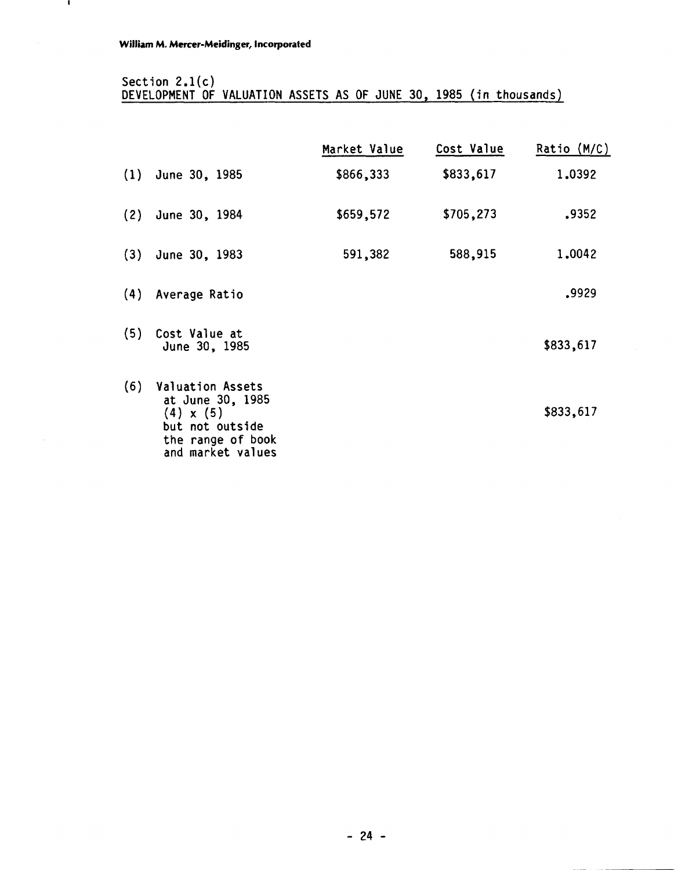# Section **2.l(c)**  DEVELOPMENT **OF** VALUATION ASSETS AS **OF** JUNE **30, 1985** (in thousands)

|     |                                                                                                                              | Market Value | Cost Value | Ratio (M/C) |
|-----|------------------------------------------------------------------------------------------------------------------------------|--------------|------------|-------------|
|     | $(1)$ June 30, 1985                                                                                                          | \$866,333    | \$833,617  | 1.0392      |
| (2) | June 30, 1984                                                                                                                | \$659,572    | \$705,273  | .9352       |
| (3) | June 30, 1983                                                                                                                | 591,382      | 588,915    | 1,0042      |
| (4) | Average Ratio                                                                                                                |              |            | .9929       |
| (5) | Cost Value at<br>June 30, 1985                                                                                               |              |            | \$833,617   |
| (6) | <b>Valuation Assets</b><br>at June 30, 1985<br>$(4) \times (5)$<br>but not outside<br>the range of book<br>and market values |              |            | \$833,617   |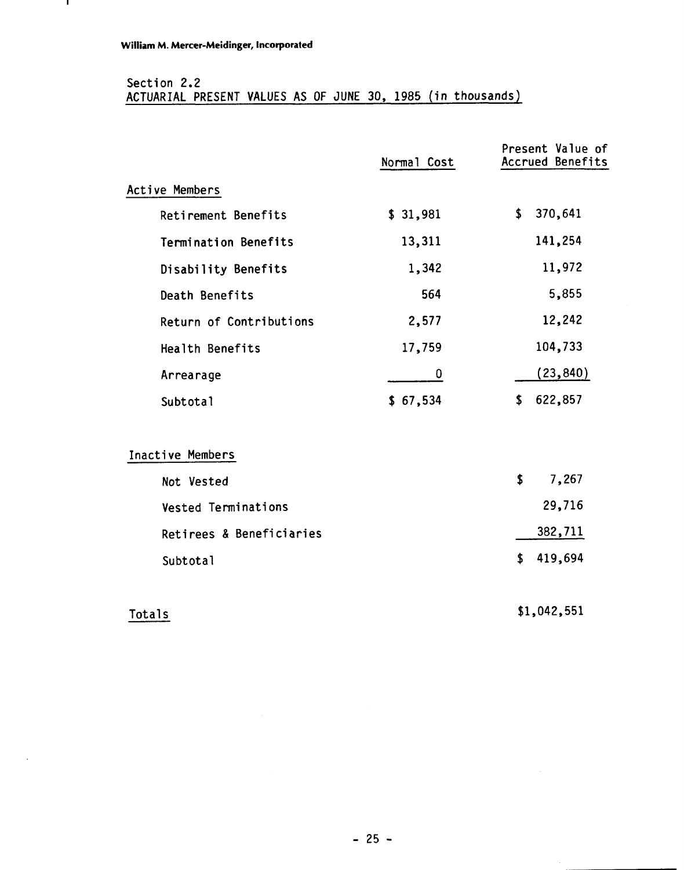$\mathbf{L}$ 

# Section 2.2 ACTUARIAL PRESENT VALUES AS OF JUNE 30, 1985 (in thousands)

|                          | Normal Cost | Present Value of<br>Accrued Benefits |
|--------------------------|-------------|--------------------------------------|
| Active Members           |             |                                      |
| Retirement Benefits      | \$31,981    | \$<br>370,641                        |
| Termination Benefits     | 13,311      | 141,254                              |
| Disability Benefits      | 1,342       | 11,972                               |
| Death Benefits           | 564         | 5,855                                |
| Return of Contributions  | 2,577       | 12,242                               |
| Health Benefits          | 17,759      | 104,733                              |
| Arrearage                | 0           | (23, 840)                            |
| Subtotal                 | \$67,534    | 622,857<br>\$                        |
| Inactive Members         |             |                                      |
| Not Vested               |             | \$<br>7,267                          |
| Vested Terminations      |             | 29,716                               |
| Retirees & Beneficiaries |             | 382,711                              |
| Subtotal                 |             | \$<br>419,694                        |
|                          |             |                                      |

# **Totals**

\$1,042,551